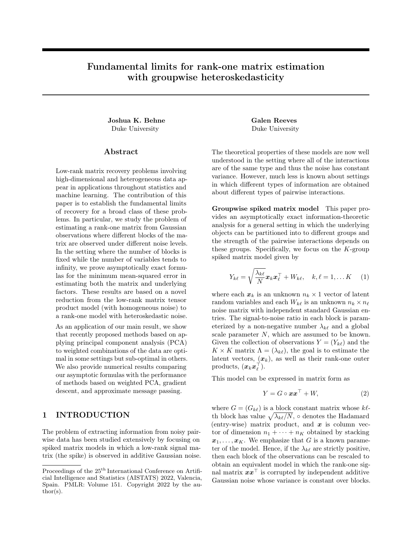# Fundamental limits for rank-one matrix estimation with groupwise heteroskedasticity

Joshua K. Behne Galen Reeves Duke University Duke University

### Abstract

Low-rank matrix recovery problems involving high-dimensional and heterogeneous data appear in applications throughout statistics and machine learning. The contribution of this paper is to establish the fundamental limits of recovery for a broad class of these problems. In particular, we study the problem of estimating a rank-one matrix from Gaussian observations where different blocks of the matrix are observed under different noise levels. In the setting where the number of blocks is fixed while the number of variables tends to infinity, we prove asymptotically exact formulas for the minimum mean-squared error in estimating both the matrix and underlying factors. These results are based on a novel reduction from the low-rank matrix tensor product model (with homogeneous noise) to a rank-one model with heteroskedastic noise.

As an application of our main result, we show that recently proposed methods based on applying principal component analysis (PCA) to weighted combinations of the data are optimal in some settings but sub-optimal in others. We also provide numerical results comparing our asymptotic formulas with the performance of methods based on weighted PCA, gradient descent, and approximate message passing.

# 1 INTRODUCTION

The problem of extracting information from noisy pairwise data has been studied extensively by focusing on spiked matrix models in which a low-rank signal matrix (the spike) is observed in additive Gaussian noise.

The theoretical properties of these models are now well understood in the setting where all of the interactions are of the same type and thus the noise has constant variance. However, much less is known about settings in which different types of information are obtained about different types of pairwise interactions.

Groupwise spiked matrix model This paper provides an asymptotically exact information-theoretic analysis for a general setting in which the underlying objects can be partitioned into to different groups and the strength of the pairwise interactions depends on these groups. Specifically, we focus on the  $K$ -group spiked matrix model given by

$$
Y_{k\ell} = \sqrt{\frac{\lambda_{k\ell}}{N}} \boldsymbol{x}_k \boldsymbol{x}_\ell^\top + W_{k\ell}, \quad k, \ell = 1, \dots K \quad (1)
$$

where each  $x_k$  is an unknown  $n_k \times 1$  vector of latent random variables and each  $W_{k\ell}$  is an unknown  $n_k \times n_\ell$ noise matrix with independent standard Gaussian entries. The signal-to-noise ratio in each block is parameterized by a non-negative number  $\lambda_{k\ell}$  and a global scale parameter N, which are assumed to be known. Given the collection of observations  $Y = (Y_{k\ell})$  and the  $K \times K$  matrix  $\Lambda = (\lambda_{k\ell})$ , the goal is to estimate the latent vectors,  $(x_k)$ , as well as their rank-one outer products,  $(\boldsymbol{x}_k \boldsymbol{x}_\ell^\top).$ 

This model can be expressed in matrix form as

$$
Y = G \circ \boldsymbol{x} \boldsymbol{x}^\top + W,\tag{2}
$$

where  $G = (G_{k\ell})$  is a block constant matrix whose  $k\ell$ th block has value  $\sqrt{\lambda_{k\ell}/N}$ , ∘ denotes the Hadamard (entry-wise) matrix product, and  $x$  is column vector of dimension  $n_1 + \cdots + n_K$  obtained by stacking  $x_1, \ldots, x_K$ . We emphasize that G is a known parameter of the model. Hence, if the  $\lambda_{k\ell}$  are strictly positive, then each block of the observations can be rescaled to obtain an equivalent model in which the rank-one signal matrix  $xx^{\top}$  is corrupted by independent additive Gaussian noise whose variance is constant over blocks.

Proceedings of the  $25^{\text{th}}$  International Conference on Artificial Intelligence and Statistics (AISTATS) 2022, Valencia, Spain. PMLR: Volume 151. Copyright 2022 by the author(s).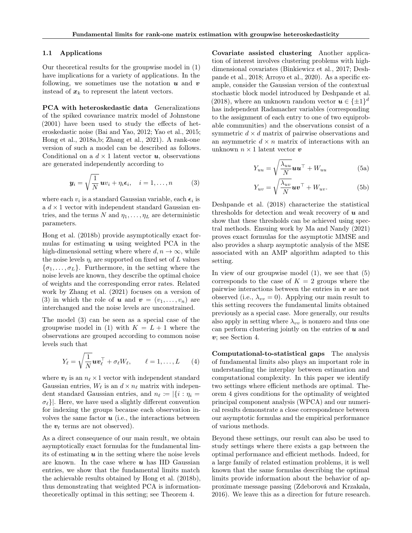#### 1.1 Applications

Our theoretical results for the groupwise model in (1) have implications for a variety of applications. In the following, we sometimes use the notation  $u$  and  $v$ instead of  $x_k$  to represent the latent vectors.

PCA with heteroskedastic data Generalizations of the spiked covariance matrix model of Johnstone (2001) have been used to study the effects of heteroskedastic noise (Bai and Yao, 2012; Yao et al., 2015; Hong et al., 2018a,b; Zhang et al., 2021). A rank-one version of such a model can be described as follows. Conditional on a  $d \times 1$  latent vector  $u$ , observations are generated independently according to

$$
\mathbf{y}_i = \sqrt{\frac{1}{N}} \mathbf{u} v_i + \eta_i \boldsymbol{\epsilon}_i, \quad i = 1, \dots, n \tag{3}
$$

where each  $v_i$  is a standard Gaussian variable, each  $\epsilon_i$  is a  $d \times 1$  vector with independent standard Gaussian entries, and the terms N and  $\eta_1, \ldots, \eta_L$  are deterministic parameters.

Hong et al. (2018b) provide asymptotically exact formulas for estimating  $u$  using weighted PCA in the high-dimensional setting where where  $d, n \to \infty$ , while the noise levels  $\eta_i$  are supported on fixed set of L values  $\{\sigma_1, \ldots, \sigma_L\}$ . Furthermore, in the setting where the noise levels are known, they describe the optimal choice of weights and the corresponding error rates. Related work by Zhang et al. (2021) focuses on a version of (3) in which the role of **u** and  $v = (v_1, \ldots, v_n)$  are interchanged and the noise levels are unconstrained.

The model (3) can be seen as a special case of the groupwise model in (1) with  $K = L + 1$  where the observations are grouped according to common noise levels such that

$$
Y_{\ell} = \sqrt{\frac{1}{N}} \boldsymbol{u} \boldsymbol{v}_{\ell}^{\top} + \sigma_{\ell} W_{\ell}, \qquad \ell = 1, \ldots, L \qquad (4)
$$

where  $v_\ell$  is an  $n_\ell \times 1$  vector with independent standard Gaussian entries,  $W_{\ell}$  is an  $d \times n_{\ell}$  matrix with independent standard Gaussian entries, and  $n_\ell := |\{i : \eta_i = \}$  $\sigma_{\ell}$ ]. Here, we have used a slightly different convention for indexing the groups because each observation involves the same factor  $u$  (i.e., the interactions between the  $v_{\ell}$  terms are not observed).

As a direct consequence of our main result, we obtain asymptotically exact formulas for the fundamental limits of estimating  $u$  in the setting where the noise levels are known. In the case where  $u$  has IID Gaussian entries, we show that the fundamental limits match the achievable results obtained by Hong et al. (2018b), thus demonstrating that weighted PCA is informationtheoretically optimal in this setting; see Theorem 4.

Covariate assisted clustering Another application of interest involves clustering problems with highdimensional covariates (Binkiewicz et al., 2017; Deshpande et al., 2018; Arroyo et al., 2020). As a specific example, consider the Gaussian version of the contextual stochastic block model introduced by Deshpande et al. (2018), where an unknown random vector  $\mathbf{u} \in {\{\pm 1\}}^d$ has independent Radamacher variables (corresponding to the assignment of each entry to one of two equiprobable communities) and the observations consist of a symmetric  $d \times d$  matrix of pairwise observations and an asymmetric  $d \times n$  matrix of interactions with an unknown  $n \times 1$  latent vector  $\boldsymbol{v}$ 

$$
Y_{uu} = \sqrt{\frac{\lambda_{uu}}{N}} \mathbf{u} \mathbf{u}^{\top} + W_{uu}
$$
 (5a)

$$
Y_{uv} = \sqrt{\frac{\lambda_{uv}}{N}} \boldsymbol{u} \boldsymbol{v}^\top + W_{uv}.
$$
 (5b)

Deshpande et al. (2018) characterize the statistical thresholds for detection and weak recovery of  $\boldsymbol{u}$  and show that these thresholds can be achieved using spectral methods. Ensuing work by Ma and Nandy (2021) proves exact formulas for the asymptotic MMSE and also provides a sharp asymptotic analysis of the MSE associated with an AMP algorithm adapted to this setting.

In view of our groupwise model  $(1)$ , we see that  $(5)$ corresponds to the case of  $K = 2$  groups where the pairwise interactions between the entries in  $\boldsymbol{v}$  are not observed (i.e.,  $\lambda_{vv} = 0$ ). Applying our main result to this setting recovers the fundamental limits obtained previously as a special case. More generally, our results also apply in setting where  $\lambda_{vv}$  is nonzero and thus one can perform clustering jointly on the entries of  $u$  and v; see Section 4.

Computational-to-statistical gaps The analysis of fundamental limits also plays an important role in understanding the interplay between estimation and computational complexity. In this paper we identify two settings where efficient methods are optimal. Theorem 4 gives conditions for the optimality of weighted principal component analysis (WPCA) and our numerical results demonstrate a close correspondence between our asymptotic formulas and the empirical performance of various methods.

Beyond these settings, our result can also be used to study settings where there exists a gap between the optimal performance and efficient methods. Indeed, for a large family of related estimation problems, it is well known that the same formulas describing the optimal limits provide information about the behavior of approximate message passing (Zdeborová and Krzakala, 2016). We leave this as a direction for future research.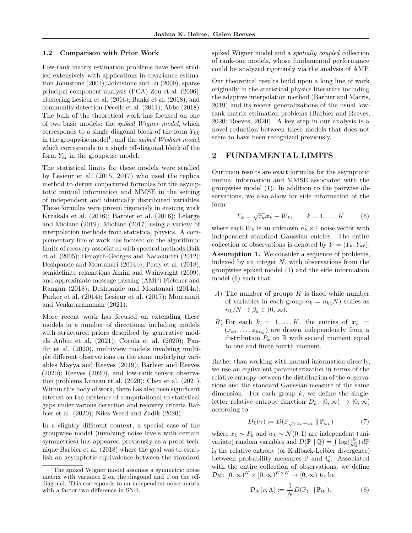#### 1.2 Comparison with Prior Work

Low-rank matrix estimation problems have been studied extensively with applications in covariance estimation Johnstone (2001); Johnstone and Lu (2009), sparse principal component analysis (PCA) Zou et al. (2006), clustering Lesieur et al. (2016); Banks et al. (2018), and community detection Decelle et al. (2011); Abbe (2018). The bulk of the theoretical work has focused on one of two basic models: the spiked Wigner model, which corresponds to a single diagonal block of the form  $Y_{kk}$ in the groupwise model<sup>1</sup>, and the *spiked Wishart model*, which corresponds to a single off-diagonal block of the form  $Y_{kl}$  in the groupwise model.

The statistical limits for these models were studied by Lesieur et al. (2015, 2017) who used the replica method to derive conjectured formulas for the asymptotic mutual information and MMSE in the setting of independent and identically distributed variables. These formulas were proven rigorously in ensuing work Krzakala et al. (2016); Barbier et al. (2016); Lelarge and Miolane (2019); Miolane (2017) using a variety of interpolation methods from statistical physics. A complementary line of work has focused on the algorithmic limits of recovery associated with spectral methods Baik et al. (2005); Benaych-Georges and Nadakuditi (2012); Deshpande and Montanari (2014b); Perry et al. (2018), semidefinite relaxations Amini and Wainwright (2009), and approximate message passing (AMP) Fletcher and Rangan (2018); Deshpande and Montanari (2014a); Parker et al. (2014); Lesieur et al. (2017); Montanari and Venkataramanan (2021).

More recent work has focused on extending these models in a number of directions, including models with structured priors described by generative models Aubin et al. (2021); Cocola et al. (2020); Pandit et al. (2020), multiview models involving multiple different observations on the same underlying variables Mayya and Reeves (2019); Barbier and Reeves (2020); Reeves (2020), and low-rank tensor observation problems Luneau et al. (2020); Chen et al. (2021). Within this body of work, there has also been significant interest on the existence of computational-to-statistical gaps under various detection and recovery criteria Barbier et al. (2020); Niles-Weed and Zadik (2020).

In a slightly different context, a special case of the groupwise model (involving noise levels with certain symmetries) has appeared previously as a proof technique Barbier et al. (2018) where the goal was to establish an asymptotic equivalence between the standard spiked Wigner model and a spatially coupled collection of rank-one models, whose fundamental performance could be analyzed rigorously via the analysis of AMP.

Our theoretical results build upon a long line of work originally in the statistical physics literature including the adaptive interpolation method (Barbier and Macris, 2019) and its recent generalizations of the usual lowrank matrix estimation problems (Barbier and Reeves, 2020; Reeves, 2020). A key step in our analysis is a novel reduction between these models that does not seem to have been recognized previously.

## 2 FUNDAMENTAL LIMITS

Our main results are exact formulas for the asymptotic mutual information and MMSE associated with the groupwise model (1). In addition to the pairwise observations, we also allow for side information of the form

$$
Y_k = \sqrt{r_k} \boldsymbol{x}_k + W_k, \qquad k = 1, \dots, K \tag{6}
$$

where each  $W_k$  is an unknown  $n_k \times 1$  noise vector with independent standard Gaussian entries. The entire collection of observations is denoted by  $Y = (Y_k, Y_{k\ell}).$ Assumption 1. We consider a sequence of problems, indexed by an integer  $N$ , with observations from the groupwise spiked model (1) and the side information model (6) such that:

- A) The number of groups  $K$  is fixed while number of variables in each group  $n_k = n_k(N)$  scales as  $n_k/N \to \beta_k \in (0,\infty).$
- B) For each  $k = 1, ..., K$ , the entries of  $x_k =$  $(x_{k1},...,x_{kn_k})$  are drawn independently from a distribution  $P_k$  on  $\mathbb R$  with second moment equal to one and finite fourth moment.

Rather than working with mutual information directly, we use an equivalent parameterization in terms of the relative entropy between the distribution of the observations and the standard Gaussian measure of the same dimension. For each group  $k$ , we define the singleletter relative entropy function  $D_k: [0, \infty) \to [0, \infty)$ according to

$$
D_k(\gamma) := D(\mathbb{P}_{\sqrt{\gamma} x_k + w_k} \|\mathbb{P}_{w_k})
$$
\n<sup>(7)</sup>

where  $x_k \sim P_k$  and  $w_k \sim \mathcal{N}(0, 1)$  are independent (univariate) random variables and  $D(\mathbb{P} \mid \mathbb{Q}) = \int \log(\frac{d\mathbb{P}}{d\mathbb{Q}}) d\mathbb{P}$ is the relative entropy (or Kullback-Leibler divergence) between probability measures  $\mathbb P$  and  $\mathbb Q$ . Associated with the entire collection of observations, we define  $\mathcal{D}_N\colon [0,\infty)^K\times [0,\infty)^{K\times K}\to [0,\infty)$  to be

$$
\mathcal{D}_N(r,\Lambda) := \frac{1}{N} D(\mathbb{P}_Y \, \| \, \mathbb{P}_W). \tag{8}
$$

<sup>&</sup>lt;sup>1</sup>The spiked Wigner model assumes a symmetric noise matrix with variance 2 on the diagonal and 1 on the offdiagonal. This corresponds to an independent noise matrix with a factor two difference in SNR.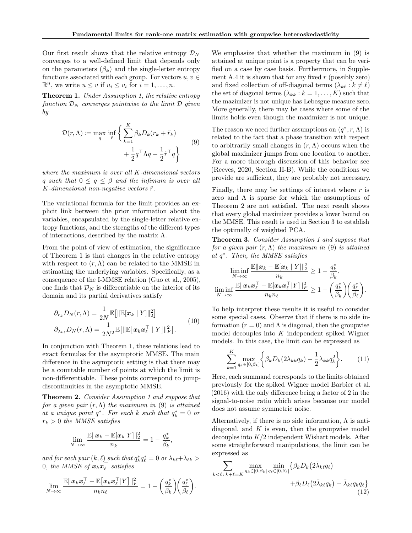Our first result shows that the relative entropy  $\mathcal{D}_N$ converges to a well-defined limit that depends only on the parameters  $(\beta_k)$  and the single-letter entropy functions associated with each group. For vectors  $u, v \in$  $\mathbb{R}^n$ , we write  $u \leq v$  if  $u_i \leq v_i$  for  $i = 1, \ldots, n$ .

Theorem 1. Under Assumption 1, the relative entropy function  $\mathcal{D}_N$  converges pointwise to the limit  $\mathcal D$  given by

$$
\mathcal{D}(r,\Lambda) := \max_{q} \inf_{\tilde{r}} \left\{ \sum_{k=1}^{K} \beta_k D_k (r_k + \tilde{r}_k) + \frac{1}{2} q^{\top} \Lambda q - \frac{1}{2} \tilde{r}^{\top} q \right\}
$$
\n(9)

where the maximum is over all K-dimensional vectors q such that  $0 \leq q \leq \beta$  and the infimum is over all K-dimensional non-negative vectors  $\tilde{r}$ .

The variational formula for the limit provides an explicit link between the prior information about the variables, encapsulated by the single-letter relative entropy functions, and the strengths of the different types of interactions, described by the matrix  $\Lambda$ .

From the point of view of estimation, the significance of Theorem 1 is that changes in the relative entropy with respect to  $(r, \Lambda)$  can be related to the MMSE in estimating the underlying variables. Specifically, as a consequence of the I-MMSE relation (Guo et al., 2005), one finds that  $\mathcal{D}_N$  is differentiable on the interior of its domain and its partial derivatives satisfy

$$
\partial_{r_k} D_N(r,\Lambda) = \frac{1}{2N} \mathbb{E} \left[ \|\mathbb{E}[\boldsymbol{x}_k \mid Y] \|_2^2 \right]
$$
  

$$
\partial_{\lambda_{k\ell}} D_N(r,\Lambda) = \frac{1}{2N^2} \mathbb{E} \left[ \|\mathbb{E}[\boldsymbol{x}_k \boldsymbol{x}_\ell^\top \mid Y] \|_F^2 \right].
$$
 (10)

In conjunction with Theorem 1, these relations lead to exact formulas for the asymptotic MMSE. The main difference in the asymptotic setting is that there may be a countable number of points at which the limit is non-differentiable. These points correspond to jumpdiscontinuities in the asymptotic MMSE.

Theorem 2. Consider Assumption 1 and suppose that for a given pair  $(r, \Lambda)$  the maximum in (9) is attained at a unique point  $q^*$ . For each k such that  $q_k^* = 0$  or  $r_k > 0$  the MMSE satisfies

$$
\lim_{N\to\infty}\frac{\mathbb{E}\|\boldsymbol{x}_k-\mathbb{E}[\boldsymbol{x}_k|Y]\|_2^2}{n_k}=1-\frac{q_k^*}{\beta_k},
$$

and for each pair  $(k, \ell)$  such that  $q_k^* q_\ell^* = 0$  or  $\lambda_{k\ell} + \lambda_{\ell k} >$  $0,\;the\;MMSE\;of\;\boldsymbol{x}_k\boldsymbol{x}_\ell^\top\;satisfies$ 

$$
\lim_{N\to\infty}\frac{\mathbb{E}\|\boldsymbol{x}_k\boldsymbol{x}_\ell^\top-\mathbb{E}\big[\boldsymbol{x}_k\boldsymbol{x}_\ell^\top|Y\big]\|_F^2}{n_kn_\ell}=1-\bigg(\frac{q_k^*}{\beta_k}\bigg)\bigg(\frac{q_\ell^*}{\beta_\ell}\bigg).
$$

We emphasize that whether the maximum in (9) is attained at unique point is a property that can be verified on a case by case basis. Furthermore, in Supplement A.4 it is shown that for any fixed  $r$  (possibly zero) and fixed collection of off-diagonal terms  $(\lambda_{k\ell} : k \neq \ell)$ the set of diagonal terms  $(\lambda_{kk}: k = 1, \ldots, K)$  such that the mazimizer is not unique has Lebesgue measure zero. More generally, there may be cases where some of the limits holds even though the maximizer is not unique.

The reason we need further assumptions on  $(q^*, r, \Lambda)$  is related to the fact that a phase transition with respect to arbitrarily small changes in  $(r, \Lambda)$  occurs when the global maximizer jumps from one location to another. For a more thorough discussion of this behavior see (Reeves, 2020, Section II-B). While the conditions we provide are sufficient, they are probably not necessary.

Finally, there may be settings of interest where  $r$  is zero and  $\Lambda$  is sparse for which the assumptions of Theorem 2 are not satisfied. The next result shows that every global maximizer provides a lower bound on the MMSE. This result is used in Section 3 to establish the optimally of weighted PCA.

Theorem 3. Consider Assumption 1 and suppose that for a given pair  $(r, \Lambda)$  the maximum in (9) is attained at q ∗ . Then, the MMSE satisfies

$$
\liminf_{N \to \infty} \frac{\mathbb{E} \|\boldsymbol{x}_k - \mathbb{E}[\boldsymbol{x}_k \mid Y] \|_2^2}{n_k} \ge 1 - \frac{q_k^*}{\beta_k},
$$
  

$$
\liminf_{N \to \infty} \frac{\mathbb{E} \|\boldsymbol{x}_k \boldsymbol{x}_\ell^\top - \mathbb{E}[\boldsymbol{x}_k \boldsymbol{x}_\ell^\top | Y] \|_F^2}{n_k n_\ell} \ge 1 - \left(\frac{q_k^*}{\beta_k}\right) \left(\frac{q_\ell^*}{\beta_\ell}\right).
$$

To help interpret these results it is useful to consider some special cases. Observe that if there is no side information  $(r = 0)$  and  $\Lambda$  is diagonal, then the groupwise model decouples into  $K$  independent spiked Wigner models. In this case, the limit can be expressed as

$$
\sum_{k=1}^{K} \max_{q_k \in [0,\beta_k]} \left\{ \beta_k D_k(2\lambda_{kk} q_k) - \frac{1}{2} \lambda_{kk} q_k^2 \right\}.
$$
 (11)

Here, each summand corresponds to the limits obtained previously for the spiked Wigner model Barbier et al. (2016) with the only difference being a factor of 2 in the signal-to-noise ratio which arises because our model does not assume symmetric noise.

Alternatively, if there is no side information,  $\Lambda$  is antidiagonal, and  $K$  is even, then the groupwise model decouples into  $K/2$  independent Wishart models. After some straightforward manipulations, the limit can be expressed as

$$
\sum_{k < \ell \,:\, k + \ell = K} \max_{q_k \in [0, \beta_k]} \min_{q_\ell \in [0, \beta_\ell]} \{ \beta_k D_k(2\bar{\lambda}_{k\ell} q_\ell) + \beta_\ell D_\ell(2\bar{\lambda}_{k\ell} q_k) - \bar{\lambda}_{k\ell} q_k q_\ell \} \tag{12}
$$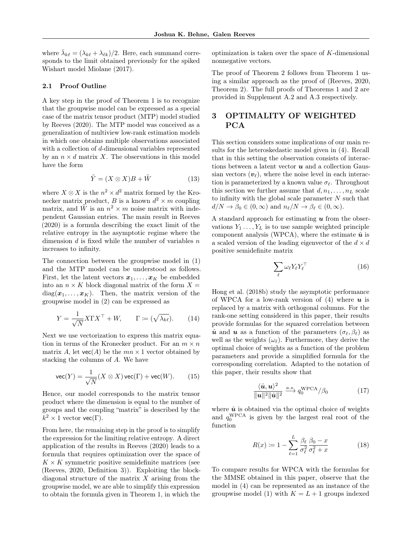where  $\bar{\lambda}_{k\ell} = (\lambda_{k\ell} + \lambda_{\ell k})/2$ . Here, each summand corresponds to the limit obtained previously for the spiked Wishart model Miolane (2017).

## 2.1 Proof Outline

A key step in the proof of Theorem 1 is to recognize that the groupwise model can be expressed as a special case of the matrix tensor product (MTP) model studied by Reeves (2020). The MTP model was conceived as a generalization of multiview low-rank estimation models in which one obtains multiple observations associated with a collection of d-dimensional variables represented by an  $n \times d$  matrix X. The observations in this model have the form

$$
\tilde{Y} = (X \otimes X)B + \tilde{W} \tag{13}
$$

where  $X \otimes X$  is the  $n^2 \times d^2$  matrix formed by the Kronecker matrix product, B is a known  $d^2 \times m$  coupling matrix, and  $\tilde{W}$  is an  $n^2 \times m$  noise matrix with independent Gaussian entries. The main result in Reeves (2020) is a formula describing the exact limit of the relative entropy in the asymptotic regime where the dimension  $d$  is fixed while the number of variables  $n$ increases to infinity.

The connection between the groupwise model in (1) and the MTP model can be understood as follows. First, let the latent vectors  $x_1, \ldots, x_K$  be embedded into an  $n \times K$  block diagonal matrix of the form  $X =$  $diag(\boldsymbol{x}_1,\ldots,\boldsymbol{x}_K)$ . Then, the matrix version of the groupwise model in (2) can be expressed as

$$
Y = \frac{1}{\sqrt{N}} X \Gamma X^{\top} + W, \qquad \Gamma := (\sqrt{\lambda_{k\ell}}). \tag{14}
$$

Next we use vectorization to express this matrix equation in terms of the Kronecker product. For an  $m \times n$ matrix A, let  $\text{vec}(A)$  be the  $mn \times 1$  vector obtained by stacking the columns of A. We have

$$
\text{vec}(Y) = \frac{1}{\sqrt{N}} (X \otimes X) \text{vec}(\Gamma) + \text{vec}(W). \tag{15}
$$

Hence, our model corresponds to the matrix tensor product where the dimension is equal to the number of groups and the coupling "matrix" is described by the  $k^2 \times 1$  vector  $\mathsf{vec}(\Gamma)$ .

From here, the remaining step in the proof is to simplify the expression for the limiting relative entropy. A direct application of the results in Reeves (2020) leads to a formula that requires optimization over the space of  $K \times K$  symmetric positive semidefinite matrices (see (Reeves, 2020, Definition 3)). Exploiting the blockdiagonal structure of the matrix  $X$  arising from the groupwise model, we are able to simplify this expression to obtain the formula given in Theorem 1, in which the optimization is taken over the space of K-dimensional nonnegative vectors.

The proof of Theorem 2 follows from Theorem 1 using a similar approach as the proof of (Reeves, 2020, Theorem 2). The full proofs of Theorems 1 and 2 are provided in Supplement A.2 and A.3 respectively.

# 3 OPTIMALITY OF WEIGHTED PCA

This section considers some implications of our main results for the heteroskedastic model given in (4). Recall that in this setting the observation consists of interactions between a latent vector  $u$  and a collection Gaussian vectors  $(v_{\ell})$ , where the noise level in each interaction is parameterized by a known value  $\sigma_{\ell}$ . Throughout this section we further assume that  $d, n_1, \ldots, n_L$  scale to infinity with the global scale parameter  $N$  such that  $d/N \to \beta_0 \in (0, \infty)$  and  $n_\ell/N \to \beta_\ell \in (0, \infty)$ .

A standard approach for estimating  $\boldsymbol{u}$  from the observations  $Y_1 \ldots, Y_L$  is to use sample weighted principle component analysis (WPCA), where the estimate  $\hat{u}$  is a scaled version of the leading eigenvector of the  $d \times d$ positive semidefinite matrix

$$
\sum_{\ell} \omega_{\ell} Y_{\ell} Y_{\ell}^{\top} \tag{16}
$$

Hong et al. (2018b) study the asymptotic performance of WPCA for a low-rank version of  $(4)$  where  $u$  is replaced by a matrix with orthogonal columns. For the rank-one setting considered in this paper, their results provide formulas for the squared correlation between  $\hat{u}$  and u as a function of the parameters  $(\sigma_{\ell}, \beta_{\ell})$  as well as the weights  $(\omega_{\ell})$ . Furthermore, they derive the optimal choice of weights as a function of the problem parameters and provide a simplified formula for the corresponding correlation. Adapted to the notation of this paper, their results show that

$$
\frac{\langle \hat{\boldsymbol{u}}, \boldsymbol{u} \rangle^2}{\|\boldsymbol{u}\|^2 \|\hat{\boldsymbol{u}}\|^2} \xrightarrow{a.s.} q_0^{\text{WPCA}} / \beta_0 \tag{17}
$$

where  $\hat{u}$  is obtained via the optimal choice of weights and  $q_0^{\text{WPCA}}$  is given by the largest real root of the function

$$
R(x) \coloneqq 1 - \sum_{\ell=1}^{L} \frac{\beta_{\ell}}{\sigma_{\ell}^2} \frac{\beta_0 - x}{\sigma_{\ell}^2 + x} \tag{18}
$$

To compare results for WPCA with the formulas for the MMSE obtained in this paper, observe that the model in (4) can be represented as an instance of the groupwise model (1) with  $K = L + 1$  groups indexed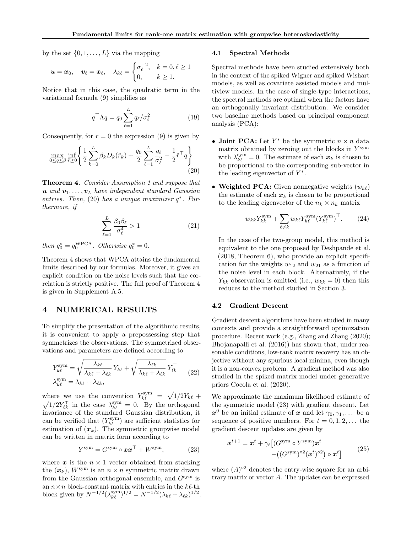by the set  $\{0, 1, \ldots, L\}$  via the mapping

$$
\boldsymbol{u} = \boldsymbol{x}_0, \quad \boldsymbol{v}_{\ell} = \boldsymbol{x}_{\ell}, \quad \lambda_{k\ell} = \begin{cases} \sigma_{\ell}^{-2}, & k = 0, \ell \geq 1 \\ 0, & k \geq 1. \end{cases}
$$

Notice that in this case, the quadratic term in the variational formula (9) simplifies as

$$
q^{\top} \Lambda q = q_0 \sum_{\ell=1}^{L} q_{\ell} / \sigma_{\ell}^2 \tag{19}
$$

Consequently, for  $r = 0$  the expression (9) is given by

$$
\max_{0 \le q \le \beta} \inf_{\tilde{r} \ge 0} \left\{ \frac{1}{2} \sum_{k=0}^{L} \beta_k D_k(\tilde{r}_k) + \frac{q_0}{2} \sum_{\ell=1}^{L} \frac{q_\ell}{\sigma_\ell^2} - \frac{1}{2} \tilde{r}^\top q \right\}
$$
(20)

Theorem 4. Consider Assumption 1 and suppose that  $u$  and  $v_1, \ldots, v_L$  have independent standard Gaussian entries. Then, (20) has a unique maximizer  $q^*$ . Furthermore, if

$$
\sum_{\ell=1}^{L} \frac{\beta_0 \beta_\ell}{\sigma_\ell^4} > 1 \tag{21}
$$

then  $q_0^* = q_0^{\text{WPCA}}$ . Otherwise  $q_0^* = 0$ .

Theorem 4 shows that WPCA attains the fundamental limits described by our formulas. Moreover, it gives an explicit condition on the noise levels such that the correlation is strictly positive. The full proof of Theorem 4 is given in Supplement A.5.

### 4 NUMERICAL RESULTS

To simplify the presentation of the algorithmic results, it is convenient to apply a prepossessing step that symmetrizes the observations. The symmetrized observations and parameters are defined according to

$$
Y_{k\ell}^{\text{sym}} = \sqrt{\frac{\lambda_{k\ell}}{\lambda_{k\ell} + \lambda_{\ell k}}} Y_{k\ell} + \sqrt{\frac{\lambda_{\ell k}}{\lambda_{k\ell} + \lambda_{\ell k}}} Y_{\ell k}^{\top}
$$
  

$$
\lambda_{k\ell}^{\text{sym}} = \lambda_{k\ell} + \lambda_{\ell k},
$$
 (22)

where we use the convention  $Y_{k\ell}^{\text{sym}} = \sqrt{1/2}Y_{k\ell} +$  $\sqrt{1/2}Y_{\ell k}^{\top}$  in the case  $\lambda_{k\ell}^{\text{sym}} = 0$ . By the orthogonal invariance of the standard Gaussian distribution, it can be verified that  $(Y_{k\ell}^{\mathrm{sym}})$  are sufficient statistics for estimation of  $(x_k)$ . The symmetric groupwise model can be written in matrix form according to

$$
Y^{\text{sym}} = G^{\text{sym}} \circ \boldsymbol{x} \boldsymbol{x}^{\top} + W^{\text{sym}}, \tag{23}
$$

where  $x$  is the  $n \times 1$  vector obtained from stacking the  $(x_k)$ ,  $W^{\text{sym}}$  is an  $n \times n$  symmetric matrix drawn from the Gaussian orthogonal ensemble, and  $G<sup>sym</sup>$  is an  $n \times n$  block-constant matrix with entries in the  $k\ell$ -th block given by  $N^{-1/2}(\lambda_{k\ell}^{\text{sym}})^{1/2} = N^{-1/2}(\lambda_{k\ell} + \lambda_{\ell k})^{1/2}$ .

#### 4.1 Spectral Methods

Spectral methods have been studied extensively both in the context of the spiked Wigner and spiked Wishart models, as well as covariate assisted models and multiview models. In the case of single-type interactions, the spectral methods are optimal when the factors have an orthogonally invariant distribution. We consider two baseline methods based on principal component analysis (PCA):

- Joint PCA: Let  $Y^*$  be the symmetric  $n \times n$  data matrix obtained by zeroing out the blocks in  $Y^{\text{sym}}$ with  $\lambda_{k\ell}^{\text{sym}} = 0$ . The estimate of each  $x_k$  is chosen to be proportional to the corresponding sub-vector in the leading eigenvector of  $Y^*$ .
- Weighted PCA: Given nonnegative weights  $(w_{k\ell})$ the estimate of each  $x_k$  is chosen to be proportional to the leading eigenvector of the  $n_k \times n_k$  matrix

$$
w_{kk} Y_{kk}^{\text{sym}} + \sum_{\ell \neq k} w_{k\ell} Y_{k\ell}^{\text{sym}} (Y_{k\ell}^{\text{sym}})^{\top}.
$$
 (24)

In the case of the two-group model, this method is equivalent to the one proposed by Deshpande et al. (2018, Theorem 6), who provide an explicit specification for the weights  $w_{12}$  and  $w_{21}$  as a function of the noise level in each block. Alternatively, if the  $Y_{kk}$  observation is omitted (i.e.,  $w_{kk} = 0$ ) then this reduces to the method studied in Section 3.

### 4.2 Gradient Descent

Gradient descent algorithms have been studied in many contexts and provide a straightforward optimization procedure. Recent work (e.g., Zhang and Zhang (2020); Bhojanapalli et al. (2016)) has shown that, under reasonable conditions, low-rank matrix recovery has an objective without any spurious local minima, even though it is a non-convex problem. A gradient method was also studied in the spiked matrix model under generative priors Cocola et al. (2020).

We approximate the maximum likelihood estimate of the symmetric model (23) with gradient descent. Let  $x^0$  be an initial estimate of x and let  $\gamma_0, \gamma_1, \ldots$  be a sequence of positive numbers. For  $t = 0, 1, 2, \ldots$  the gradient descent updates are given by

$$
\boldsymbol{x}^{t+1} = \boldsymbol{x}^t + \gamma_t \left[ (G^{\text{sym}} \circ Y^{\text{sym}}) \boldsymbol{x}^t - ((G^{\text{sym}})^{\circ 2} (\boldsymbol{x}^t)^{\circ 2}) \circ \boldsymbol{x}^t \right] \tag{25}
$$

where  $(A)$ <sup>o2</sup> denotes the entry-wise square for an arbitrary matrix or vector  $A$ . The updates can be expressed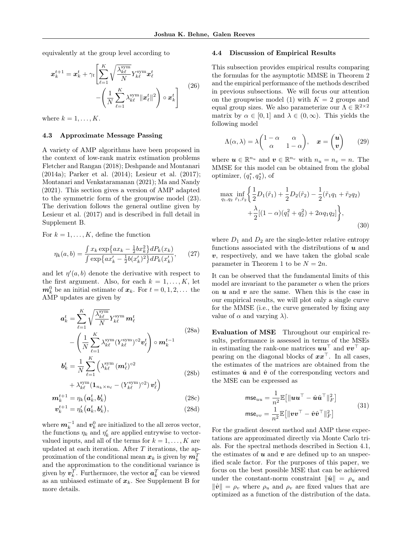equivalently at the group level according to

$$
\boldsymbol{x}_{k}^{t+1} = \boldsymbol{x}_{k}^{t} + \gamma_{t} \left[ \sum_{\ell=1}^{K} \sqrt{\frac{\lambda_{k\ell}^{\text{sym}}}{N}} Y_{k\ell}^{\text{sym}} \boldsymbol{x}_{\ell}^{t} - \left( \frac{1}{N} \sum_{\ell=1}^{K} \lambda_{k\ell}^{\text{sym}} ||\boldsymbol{x}_{\ell}^{t}||^{2} \right) \circ \boldsymbol{x}_{k}^{t} \right] \tag{26}
$$

where  $k = 1, \ldots, K$ .

#### 4.3 Approximate Message Passing

A variety of AMP algorithms have been proposed in the context of low-rank matrix estimation problems Fletcher and Rangan (2018); Deshpande and Montanari (2014a); Parker et al. (2014); Lesieur et al. (2017); Montanari and Venkataramanan (2021); Ma and Nandy (2021). This section gives a version of AMP adapted to the symmetric form of the groupwise model (23). The derivation follows the general outline given by Lesieur et al. (2017) and is described in full detail in Supplement B.

For  $k = 1, \ldots, K$ , define the function

$$
\eta_k(a,b) = \frac{\int x_k \exp\{ax_k - \frac{1}{2}bx_k^2\} dP_k(x_k)}{\int \exp\{ax'_k - \frac{1}{2}b(x'_k)^2\} dP_k(x'_k)},\qquad(27)
$$

and let  $\eta'(a, b)$  denote the derivative with respect to the first argument. Also, for each  $k = 1, \ldots, K$ , let  $m_k^0$  be an initial estimate of  $x_k$ . For  $t = 0, 1, 2, \ldots$  the AMP updates are given by

$$
\mathbf{a}_{k}^{t} = \sum_{\ell=1}^{K} \sqrt{\frac{\lambda_{k\ell}^{\text{sym}}}{N}} Y_{k\ell}^{\text{sym}} \mathbf{m}_{\ell}^{t}
$$
\n
$$
- \left( \frac{1}{N} \sum_{\ell=1}^{K} \lambda_{k\ell}^{\text{sym}} (Y_{k\ell}^{\text{sym}})^{02} \mathbf{v}_{\ell}^{t} \right) \circ \mathbf{m}_{k}^{t-1}
$$
\n
$$
\mathbf{b}_{k}^{t} = \frac{1}{N} \sum_{\ell=1}^{K} \left( \lambda_{k\ell}^{\text{sym}} (\mathbf{m}_{\ell}^{t})^{02} \right)
$$
\n
$$
+ \lambda^{\text{sym}} (\mathbf{1}_{K} - (Y^{\text{sym}})^{02}) \mathbf{m}_{\ell}^{t})
$$
\n(28b)

$$
+\lambda_{k\ell}^{\text{sym}}(\mathbf{1}_{n_k \times n_\ell} - (Y_{k\ell}^{\text{sym}})^{c2})\,\mathbf{v}_\ell^t\bigg)\\
\mathbf{m}_k^{t+1} = \eta_k(\mathbf{a}_k^t, \mathbf{b}_k^t)
$$
\n(28c)

$$
\boldsymbol{v}_k^{t+1} = \eta_k'(\boldsymbol{a}_k^t, \boldsymbol{b}_k^t),\tag{28d}
$$

where  $\boldsymbol{m}_k^{-1}$  and  $\boldsymbol{v}_k^0$  are initialized to the all zeros vector, the functions  $\eta_k$  and  $\eta'_k$  are applied entrywise to vectorvalued inputs, and all of the terms for  $k = 1, \ldots, K$  are updated at each iteration. After T iterations, the approximation of the conditional mean  $x_k$  is given by  $m_k^T$ and the approximation to the conditional variance is given by  $\boldsymbol{v}_k^T$ . Furthermore, the vector  $\boldsymbol{a}_k^T$  can be viewed as an unbiased estimate of  $x_k$ . See Supplement B for more details.

#### 4.4 Discussion of Empirical Results

This subsection provides empirical results comparing the formulas for the asymptotic MMSE in Theorem 2 and the empirical performance of the methods described in previous subsections. We will focus our attention on the groupwise model (1) with  $K = 2$  groups and equal group sizes. We also parameterize our  $\Lambda \in \mathbb{R}^{2 \times 2}$ matrix by  $\alpha \in [0, 1]$  and  $\lambda \in (0, \infty)$ . This yields the following model

$$
\Lambda(\alpha,\lambda) = \lambda \begin{pmatrix} 1 - \alpha & \alpha \\ \alpha & 1 - \alpha \end{pmatrix}, \quad \boldsymbol{x} = \begin{pmatrix} \boldsymbol{u} \\ \boldsymbol{v} \end{pmatrix} \tag{29}
$$

where  $u \in \mathbb{R}^{n_u}$  and  $v \in \mathbb{R}^{n_v}$  with  $n_u = n_v = n$ . The MMSE for this model can be obtained from the global optimizer,  $(q_1^*, q_2^*)$ , of

$$
\max_{q_1, q_2} \inf_{\tilde{r}_1, \tilde{r}_2} \left\{ \frac{1}{2} D_1(\tilde{r}_1) + \frac{1}{2} D_2(\tilde{r}_2) - \frac{1}{2} (\tilde{r}_1 q_1 + \tilde{r}_2 q_2) + \frac{\lambda}{2} [(1 - \alpha)(q_1^2 + q_2^2) + 2\alpha q_1 q_2] \right\},\tag{30}
$$

where  $D_1$  and  $D_2$  are the single-letter relative entropy functions associated with the distributions of  $u$  and  $v$ , respectively, and we have taken the global scale parameter in Theorem 1 to be  $N = 2n$ .

It can be observed that the fundamental limits of this model are invariant to the parameter  $\alpha$  when the priors on  $u$  and  $v$  are the same. When this is the case in our empirical results, we will plot only a single curve for the MMSE (i.e., the curve generated by fixing any value of  $\alpha$  and varying  $\lambda$ ).

Evaluation of MSE Throughout our empirical results, performance is assessed in terms of the MSEs in estimating the rank-one matrices  $uu^{\top}$  and  $vv^{\top}$  appearing on the diagonal blocks of  $xx^{\perp}$ . In all cases, the estimates of the matrices are obtained from the estimates  $\hat{u}$  and  $\hat{v}$  of the corresponding vectors and the MSE can be expressed as

$$
\text{mse}_{uu} = \frac{1}{n^2} \mathbb{E} \left[ \|\boldsymbol{uu}^\top - \hat{\boldsymbol{u}}\hat{\boldsymbol{u}}^\top\|_F^2 \right] \n\text{mse}_{vv} = \frac{1}{n^2} \mathbb{E} \left[ \|\boldsymbol{vv}^\top - \hat{\boldsymbol{v}}\hat{\boldsymbol{v}}^\top\|_F^2 \right]
$$
\n(31)

For the gradient descent method and AMP these expectations are approximated directly via Monte Carlo trials. For the spectral methods described in Section 4.1, the estimates of  $u$  and  $v$  are defined up to an unspecified scale factor. For the purposes of this paper, we focus on the best possible MSE that can be achieved under the constant-norm constraint  $\|\hat{\mathbf{u}}\| = \rho_u$  and  $\|\hat{v}\| = \rho_v$  where  $\rho_u$  and  $\rho_v$  are fixed values that are optimized as a function of the distribution of the data.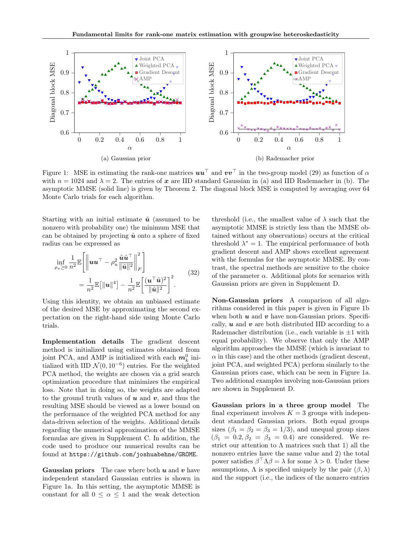

Figure 1: MSE in estimating the rank-one matrices  $uu^{\top}$  and  $vv^{\top}$  in the two-group model (29) as function of  $\alpha$ with  $n = 1024$  and  $\lambda = 2$ . The entries of x are IID standard Gaussian in (a) and IID Rademacher in (b). The asymptotic MMSE (solid line) is given by Theorem 2. The diagonal block MSE is computed by averaging over 64 Monte Carlo trials for each algorithm.

Starting with an initial estimate  $\tilde{u}$  (assumed to be nonzero with probability one) the minimum MSE that can be obtained by projecting  $\tilde{u}$  onto a sphere of fixed radius can be expressed as

$$
\inf_{\rho_u \geq 0} \frac{1}{n^2} \mathbb{E} \left[ \left\| \boldsymbol{u} \boldsymbol{u}^\top - \rho_u^2 \frac{\tilde{\boldsymbol{u}} \tilde{\boldsymbol{u}}^\top}{\|\tilde{\boldsymbol{u}}\|^2} \right\|_F^2 \right] \n= \frac{1}{n^2} \mathbb{E} \left[ \|\boldsymbol{u}\|^4 \right] - \frac{1}{n^2} \mathbb{E} \left[ \frac{(\boldsymbol{u}^\top \tilde{\boldsymbol{u}})^2}{\|\tilde{\boldsymbol{u}}\|^2} \right]^2.
$$
\n(32)

Using this identity, we obtain an unbiased estimate of the desired MSE by approximating the second expectation on the right-hand side using Monte Carlo trials.

Implementation details The gradient descent method is initialized using estimates obtained from joint PCA, and AMP is initialized with each  $m_k^0$  initialized with IID  $\mathcal{N}(0, 10^{-6})$  entries. For the weighted PCA method, the weights are chosen via a grid search optimization procedure that minimizes the empirical loss. Note that in doing so, the weights are adapted to the ground truth values of  $u$  and  $v$ , and thus the resulting MSE should be viewed as a lower bound on the performance of the weighted PCA method for any data-driven selection of the weights. Additional details regarding the numerical approximation of the MMSE formulas are given in Supplement C. In addition, the code used to produce our numerical results can be found at https://github.com/joshuabehne/GROME.

**Gaussian priors** The case where both  $u$  and  $v$  have independent standard Gaussian entries is shown in Figure 1a. In this setting, the asymptotic MMSE is constant for all  $0 \leq \alpha \leq 1$  and the weak detection threshold (i.e., the smallest value of  $\lambda$  such that the asymptotic MMSE is strictly less than the MMSE obtained without any observations) occurs at the critical threshold  $\lambda^* = 1$ . The empirical performance of both gradient descent and AMP shows excellent agreement with the formulas for the asymptotic MMSE. By contrast, the spectral methods are sensitive to the choice of the parameter  $\alpha$ . Additional plots for scenarios with Gaussian priors are given in Supplement D.

Non-Gaussian priors A comparison of all algorithms considered in this paper is given in Figure 1b when both  $u$  and  $v$  have non-Gaussian priors. Specifically,  $\boldsymbol{u}$  and  $\boldsymbol{v}$  are both distributed IID according to a Rademacher distribution (i.e., each variable is  $\pm 1$  with equal probability). We observe that only the AMP algorithm approaches the MMSE (which is invariant to  $\alpha$  in this case) and the other methods (gradient descent, joint PCA, and weighted PCA) perform similarly to the Gaussian priors case, which can be seen in Figure 1a. Two additional examples involving non-Gaussian priors are shown in Supplement D.

Gaussian priors in a three group model The final experiment involves  $K = 3$  groups with independent standard Gaussian priors. Both equal groups sizes  $(\beta_1 = \beta_2 = \beta_3 = 1/3)$ , and unequal group sizes  $(\beta_1 = 0.2, \beta_2 = \beta_3 = 0.4)$  are considered. We restrict our attention to  $\Lambda$  matrices such that 1) all the nonzero entries have the same value and 2) the total power satisfies  $\beta^{\top} \Lambda \beta = \lambda$  for some  $\lambda > 0$ . Under these assumptions,  $\Lambda$  is specified uniquely by the pair  $(\beta, \lambda)$ and the support (i.e., the indices of the nonzero entries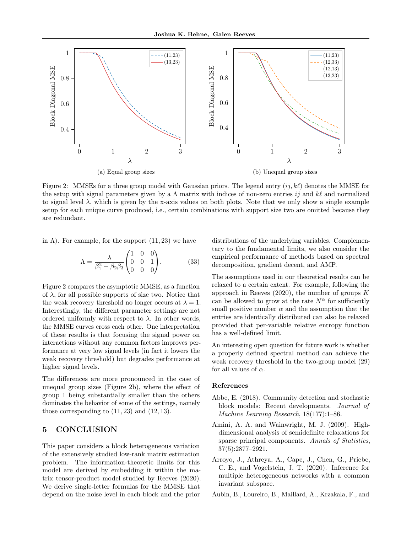

Figure 2: MMSEs for a three group model with Gaussian priors. The legend entry  $(i, k\ell)$  denotes the MMSE for the setup with signal parameters given by a  $\Lambda$  matrix with indices of non-zero entries ij and k $\ell$  and normalized to signal level  $\lambda$ , which is given by the x-axis values on both plots. Note that we only show a single example setup for each unique curve produced, i.e., certain combinations with support size two are omitted because they are redundant.

in  $\Lambda$ ). For example, for the support  $(11, 23)$  we have

$$
\Lambda = \frac{\lambda}{\beta_1^2 + \beta_2 \beta_3} \begin{pmatrix} 1 & 0 & 0 \\ 0 & 0 & 1 \\ 0 & 0 & 0 \end{pmatrix} . \tag{33}
$$

Figure 2 compares the asymptotic MMSE, as a function of  $\lambda$ , for all possible supports of size two. Notice that the weak recovery threshold no longer occurs at  $\lambda = 1$ . Interestingly, the different parameter settings are not ordered uniformly with respect to  $\lambda$ . In other words, the MMSE curves cross each other. One interpretation of these results is that focusing the signal power on interactions without any common factors improves performance at very low signal levels (in fact it lowers the weak recovery threshold) but degrades performance at higher signal levels.

The differences are more pronounced in the case of unequal group sizes (Figure 2b), where the effect of group 1 being substantially smaller than the others dominates the behavior of some of the settings, namely those corresponding to  $(11, 23)$  and  $(12, 13)$ .

# 5 CONCLUSION

This paper considers a block heterogeneous variation of the extensively studied low-rank matrix estimation problem. The information-theoretic limits for this model are derived by embedding it within the matrix tensor-product model studied by Reeves (2020). We derive single-letter formulas for the MMSE that depend on the noise level in each block and the prior

distributions of the underlying variables. Complementary to the fundamental limits, we also consider the empirical performance of methods based on spectral decomposition, gradient decent, and AMP.

The assumptions used in our theoretical results can be relaxed to a certain extent. For example, following the approach in Reeves  $(2020)$ , the number of groups K can be allowed to grow at the rate  $N^{\alpha}$  for sufficiently small positive number  $\alpha$  and the assumption that the entries are identically distributed can also be relaxed provided that per-variable relative entropy function has a well-defined limit.

An interesting open question for future work is whether a properly defined spectral method can achieve the weak recovery threshold in the two-group model (29) for all values of  $\alpha$ .

### References

- Abbe, E. (2018). Community detection and stochastic block models: Recent developments. Journal of Machine Learning Research, 18(177):1–86.
- Amini, A. A. and Wainwright, M. J. (2009). Highdimensional analysis of semidefinite relaxations for sparse principal components. Annals of Statistics, 37(5):2877–2921.
- Arroyo, J., Athreya, A., Cape, J., Chen, G., Priebe, C. E., and Vogelstein, J. T. (2020). Inference for multiple heterogeneous networks with a common invariant subspace.
- Aubin, B., Loureiro, B., Maillard, A., Krzakala, F., and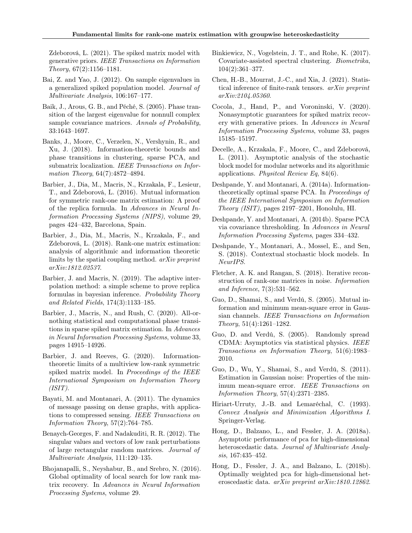Zdeborová, L. (2021). The spiked matrix model with generative priors. IEEE Transactions on Information Theory, 67(2):1156–1181.

- Bai, Z. and Yao, J. (2012). On sample eigenvalues in a generalized spiked population model. Journal of Multivariate Analysis, 106:167–177.
- Baik, J., Arous, G. B., and Péché, S. (2005). Phase transition of the largest eigenvalue for nonnull complex sample covariance matrices. Annals of Probability, 33:1643–1697.
- Banks, J., Moore, C., Verzelen, N., Vershynin, R., and Xu, J. (2018). Information-theoretic bounds and phase transitions in clustering, sparse PCA, and submatrix localization. IEEE Transactions on Information Theory, 64(7):4872-4894.
- Barbier, J., Dia, M., Macris, N., Krzakala, F., Lesieur, T., and Zdeborová, L. (2016). Mutual information for symmetric rank-one matrix estimation: A proof of the replica formula. In Advances in Neural Information Processing Systems (NIPS), volume 29, pages 424–432, Barcelona, Spain.
- Barbier, J., Dia, M., Macris, N., Krzakala, F., and Zdeborová, L. (2018). Rank-one matrix estimation: analysis of algorithmic and information theoretic limits by the spatial coupling method. arXiv preprint arXiv:1812.02537.
- Barbier, J. and Macris, N. (2019). The adaptive interpolation method: a simple scheme to prove replica formulas in bayesian inference. Probability Theory and Related Fields, 174(3):1133–185.
- Barbier, J., Macris, N., and Rush, C. (2020). All-ornothing statistical and computational phase transitions in sparse spiked matrix estimation. In Advances in Neural Information Processing Systems, volume 33, pages 14915–14926.
- Barbier, J. and Reeves, G. (2020). Informationtheoretic limits of a multiview low-rank symmetric spiked matrix model. In Proceedings of the IEEE International Symposium on Information Theory  $(ISIT)$ .
- Bayati, M. and Montanari, A. (2011). The dynamics of message passing on dense graphs, with applications to compressed sensing. IEEE Transactions on Information Theory,  $57(2)$ :764–785.
- Benaych-Georges, F. and Nadakuditi, R. R. (2012). The singular values and vectors of low rank perturbations of large rectangular random matrices. Journal of Multivariate Analysis, 111:120–135.
- Bhojanapalli, S., Neyshabur, B., and Srebro, N. (2016). Global optimality of local search for low rank matrix recovery. In Advances in Neural Information Processing Systems, volume 29.
- Binkiewicz, N., Vogelstein, J. T., and Rohe, K. (2017). Covariate-assisted spectral clustering. Biometrika, 104(2):361–377.
- Chen, H.-B., Mourrat, J.-C., and Xia, J. (2021). Statistical inference of finite-rank tensors. arXiv preprint arXiv:2104.05360.
- Cocola, J., Hand, P., and Voroninski, V. (2020). Nonasymptotic guarantees for spiked matrix recovery with generative priors. In Advances in Neural Information Processing Systems, volume 33, pages 15185–15197.
- Decelle, A., Krzakala, F., Moore, C., and Zdeborová, L. (2011). Asymptotic analysis of the stochastic block model for modular networks and its algorithmic applications. Physitcal Review Eq, 84(6).
- Deshpande, Y. and Montanari, A. (2014a). Informationtheoretically optimal sparse PCA. In Proceedings of the IEEE International Symposium on Information Theory (ISIT), pages 2197–2201, Honolulu, HI.
- Deshpande, Y. and Montanari, A. (2014b). Sparse PCA via covariance thresholding. In Advances in Neural Information Processing Systems, pages 334–432.
- Deshpande, Y., Montanari, A., Mossel, E., and Sen, S. (2018). Contextual stochastic block models. In NeurIPS.
- Fletcher, A. K. and Rangan, S. (2018). Iterative reconstruction of rank-one matrices in noise. Information and Inference, 7(3):531–562.
- Guo, D., Shamai, S., and Verdú, S. (2005). Mutual information and minimum mean-square error in Gaussian channels. IEEE Transactions on Information Theory, 51(4):1261–1282.
- Guo, D. and Verdú, S. (2005). Randomly spread CDMA: Asymptotics via statistical physics. IEEE Transactions on Information Theory, 51(6):1983– 2010.
- Guo, D., Wu, Y., Shamai, S., and Verdú, S. (2011). Estimation in Gaussian noise: Properties of the minimum mean-square error. IEEE Transactions on Information Theory, 57(4):2371–2385.
- Hiriart-Urruty, J.-B. and Lemaréchal, C. (1993). Convex Analysis and Minimization Algorithms I. Springer-Verlag.
- Hong, D., Balzano, L., and Fessler, J. A. (2018a). Asymptotic performance of pca for high-dimensional heteroscedastic data. Journal of Multivariate Analysis, 167:435–452.
- Hong, D., Fessler, J. A., and Balzano, L. (2018b). Optimally weighted pca for high-dimensional heteroscedastic data. arXiv preprint arXiv:1810.12862.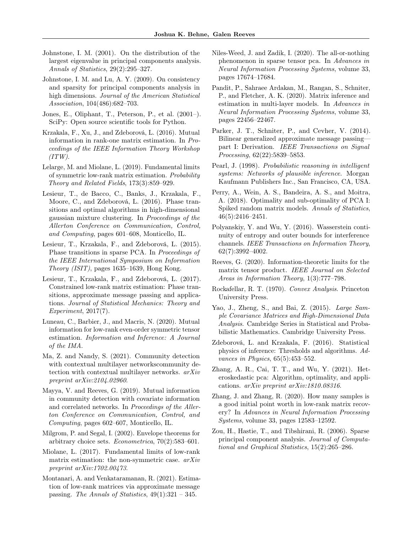- Johnstone, I. M. (2001). On the distribution of the largest eigenvalue in principal components analysis. Annals of Statistics, 29(2):295–327.
- Johnstone, I. M. and Lu, A. Y. (2009). On consistency and sparsity for principal components analysis in high dimensions. Journal of the American Statistical Association, 104(486):682–703.
- Jones, E., Oliphant, T., Peterson, P., et al. (2001–). SciPy: Open source scientific tools for Python.
- Krzakala, F., Xu, J., and Zdeborová, L. (2016). Mutual information in rank-one matrix estimation. In Proceedings of the IEEE Information Theory Workshop  $(TTW)$ .
- Lelarge, M. and Miolane, L. (2019). Fundamental limits of symmetric low-rank matrix estimation. Probability Theory and Related Fields, 173(3):859–929.
- Lesieur, T., de Bacco, C., Banks, J., Krzakala, F., Moore, C., and Zdeborová, L. (2016). Phase transitions and optimal algorithms in high-dimensional gaussian mixture clustering. In Proceedings of the Allerton Conference on Communication, Control, and Computing, pages 601–608, Monticello, IL.
- Lesieur, T., Krzakala, F., and Zdeborová, L. (2015). Phase transitions in sparse PCA. In Proceedings of the IEEE International Symposium on Information Theory (ISIT), pages 1635–1639, Hong Kong.
- Lesieur, T., Krzakala, F., and Zdeborová, L. (2017). Constrained low-rank matrix estimation: Phase transitions, approximate message passing and applications. Journal of Statistical Mechanics: Theory and Experiment, 2017(7).
- Luneau, C., Barbier, J., and Macris, N. (2020). Mutual information for low-rank even-order symmetric tensor estimation. Information and Inference: A Journal of the IMA.
- Ma, Z. and Nandy, S. (2021). Community detection with contextual multilayer networkscommunity detection with contextual multilayer networks. arXiv preprint arXiv:2104.02960.
- Mayya, V. and Reeves, G. (2019). Mutual information in community detection with covariate information and correlated networks. In Proceedings of the Allerton Conference on Communication, Control, and Computing, pages 602–607, Monticello, IL.
- Milgrom, P. and Segal, I. (2002). Envelope theorems for arbitrary choice sets. Econometrica, 70(2):583–601.
- Miolane, L. (2017). Fundamental limits of low-rank matrix estimation: the non-symmetric case. arXiv preprint arXiv:1702.00473.
- Montanari, A. and Venkataramanan, R. (2021). Estimation of low-rank matrices via approximate message passing. The Annals of Statistics,  $49(1):321 - 345$ .
- Niles-Weed, J. and Zadik, I. (2020). The all-or-nothing phenomenon in sparse tensor pca. In Advances in Neural Information Processing Systems, volume 33, pages 17674–17684.
- Pandit, P., Sahraee Ardakan, M., Rangan, S., Schniter, P., and Fletcher, A. K. (2020). Matrix inference and estimation in multi-layer models. In Advances in Neural Information Processing Systems, volume 33, pages 22456–22467.
- Parker, J. T., Schniter, P., and Cevher, V. (2014). Bilinear generalized approximate message passing part I: Derivation. IEEE Transactions on Signal Processing, 62(22):5839–5853.
- Pearl, J. (1998). Probabilistic reasoning in intelligent systems: Networks of plausible inference. Morgan Kaufmann Publishers Inc., San Francisco, CA, USA.
- Perry, A., Wein, A. S., Bandeira, A. S., and Moitra, A. (2018). Optimality and sub-optimality of PCA I: Spiked random matrix models. Annals of Statistics, 46(5):2416–2451.
- Polyanskiy, Y. and Wu, Y. (2016). Wasserstein continuity of entropy and outer bounds for interference channels. IEEE Transactions on Information Theory, 62(7):3992–4002.
- Reeves, G. (2020). Information-theoretic limits for the matrix tensor product. IEEE Journal on Selected Areas in Information Theory, 1(3):777–798.
- Rockafellar, R. T. (1970). Convex Analysis. Princeton University Press.
- Yao, J., Zheng, S., and Bai, Z. (2015). Large Sample Covariance Matrices and High-Dimensional Data Analysis. Cambridge Series in Statistical and Probabilistic Mathematics. Cambridge University Press.
- Zdeborová, L. and Krzakala, F. (2016). Statistical physics of inference: Thresholds and algorithms. Advances in Physics, 65(5):453–552.
- Zhang, A. R., Cai, T. T., and Wu, Y. (2021). Heteroskedastic pca: Algorithm, optimality, and applications. arXiv preprint arXiv:1810.08316.
- Zhang, J. and Zhang, R. (2020). How many samples is a good initial point worth in low-rank matrix recovery? In Advances in Neural Information Processing Systems, volume 33, pages 12583–12592.
- Zou, H., Hastie, T., and Tibshirani, R. (2006). Sparse principal component analysis. Journal of Computational and Graphical Statistics, 15(2):265–286.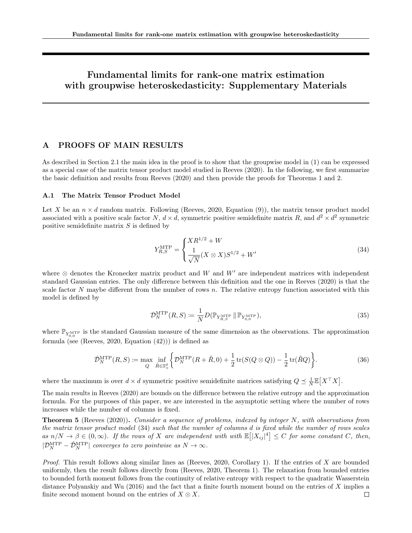# Fundamental limits for rank-one matrix estimation with groupwise heteroskedasticity: Supplementary Materials

# A PROOFS OF MAIN RESULTS

As described in Section 2.1 the main idea in the proof is to show that the groupwise model in (1) can be expressed as a special case of the matrix tensor product model studied in Reeves (2020). In the following, we first summarize the basic definition and results from Reeves (2020) and then provide the proofs for Theorems 1 and 2.

### A.1 The Matrix Tensor Product Model

Let X be an  $n \times d$  random matrix. Following (Reeves, 2020, Equation (9)), the matrix tensor product model associated with a positive scale factor N,  $d \times d$ , symmetric positive semidefinite matrix R, and  $d^2 \times d^2$  symmetric positive semidefinite matrix  $S$  is defined by

$$
Y_{R,S}^{\text{MTP}} = \begin{cases} X R^{1/2} + W \\ \frac{1}{\sqrt{N}} (X \otimes X) S^{1/2} + W' \end{cases}
$$
(34)

where  $\otimes$  denotes the Kronecker matrix product and W and W' are independent matrices with independent standard Gaussian entries. The only difference between this definition and the one in Reeves (2020) is that the scale factor  $N$  maybe different from the number of rows  $n$ . The relative entropy function associated with this model is defined by

$$
\mathcal{D}_N^{\text{MTP}}(R,S) \coloneqq \frac{1}{N} D(\mathbb{P}_{Y_{R,S}^{\text{MTP}}}\|\mathbb{P}_{Y_{0,0}^{\text{MTP}}}),\tag{35}
$$

where  $\mathbb{P}_{Y_{0,0}^{\text{MTP}}}$  is the standard Gaussian measure of the same dimension as the observations. The approximation formula (see (Reeves, 2020, Equation  $(42)$ )) is defined as

$$
\hat{\mathcal{D}}_N^{\text{MTP}}(R,S) \coloneqq \max_Q \inf_{\tilde{R}\in\mathbb{S}_+^d} \left\{ \mathcal{D}_N^{\text{MTP}}(R+\tilde{R},0) + \frac{1}{2}\operatorname{tr}(S(Q\otimes Q)) - \frac{1}{2}\operatorname{tr}(\tilde{R}Q) \right\}.
$$
\n(36)

where the maximum is over  $d \times d$  symmetric positive semidefinite matrices satisfying  $Q \preceq \frac{1}{N} \mathbb{E}[X^{\top} X]$ .

The main results in Reeves (2020) are bounds on the difference between the relative entropy and the approximation formula. For the purposes of this paper, we are interested in the asymptotic setting where the number of rows increases while the number of columns is fixed.

**Theorem 5** (Reeves (2020)). Consider a sequence of problems, indexed by integer N, with observations from the matrix tensor product model (34) such that the number of columns d is fixed while the number of rows scales as  $n/N \to \beta \in (0,\infty)$ . If the rows of X are independent with with  $\mathbb{E} [|X_{ij}|^4] \leq C$  for some constant C, then,  $|\mathcal{D}_N^{\text{MTP}} - \hat{\mathcal{D}}_N^{\text{MTP}}|$  converges to zero pointwise as  $N \to \infty$ .

Proof. This result follows along similar lines as (Reeves, 2020, Corollary 1). If the entries of X are bounded uniformly, then the result follows directly from (Reeves, 2020, Theorem 1). The relaxation from bounded entries to bounded forth moment follows from the continuity of relative entropy with respect to the quadratic Wasserstein distance Polyanskiy and Wu (2016) and the fact that a finite fourth moment bound on the entries of X implies a finite second moment bound on the entries of  $X \otimes X$ .  $\Box$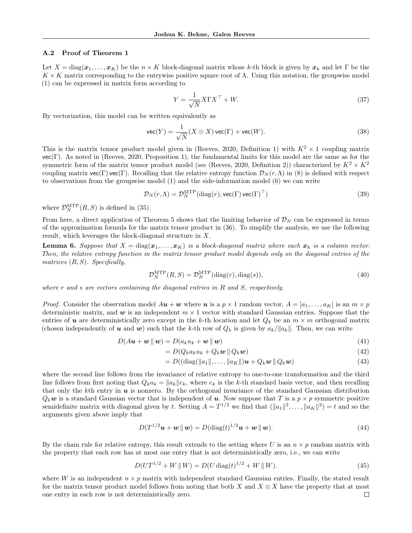#### A.2 Proof of Theorem 1

Let  $X = diag(x_1, ..., x_K)$  be the  $n \times K$  block-diagonal matrix whose k-th block is given by  $x_k$  and let  $\Gamma$  be the  $K \times K$  matrix corresponding to the entrywise positive square root of  $\Lambda$ . Using this notation, the groupwise model (1) can be expressed in matrix form according to

$$
Y = \frac{1}{\sqrt{N}} X \Gamma X^{\top} + W. \tag{37}
$$

By vectorization, this model can be written equivalently as

$$
\text{vec}(Y) = \frac{1}{\sqrt{N}} (X \otimes X) \text{vec}(\Gamma) + \text{vec}(W). \tag{38}
$$

This is the matrix tensor product model given in (Reeves, 2020, Definition 1) with  $K^2 \times 1$  coupling matrix vec(Γ). As noted in (Reeves, 2020, Proposition 1), the fundamental limits for this model are the same as for the symmetric form of the matrix tensor product model (see (Reeves, 2020, Definition 2)) characterized by  $K^2 \times K^2$ coupling matrix  $\text{vec}(\Gamma)$  vec(Γ). Recalling that the relative entropy function  $\mathcal{D}_N(r,\Lambda)$  in (8) is defined with respect to observations from the groupwise model (1) and the side-information model (6) we can write

$$
\mathcal{D}_N(r,\Lambda) = \mathcal{D}_N^{\text{MTP}}(\text{diag}(r), \text{vec}(\Gamma) \text{vec}(\Gamma)^\top)
$$
\n(39)

where  $\mathcal{D}_N^{\text{MTP}}(R, S)$  is defined in (35).

From here, a direct application of Theorem 5 shows that the limiting behavior of  $\mathcal{D}_N$  can be expressed in terms of the approximation formula for the matrix tensor product in (36). To simplify the analysis, we use the following result, which leverages the block-diagonal structure in X.

**Lemma 6.** Suppose that  $X = diag(x_1, \ldots, x_K)$  is a block-diagonal matrix where each  $x_k$  is a column vector. Then, the relative entropy function in the matrix tensor product model depends only on the diagonal entries of the matrices  $(R, S)$ . Specifically,

$$
\mathcal{D}_N^{\text{MTP}}(R,S) = \mathcal{D}_N^{\text{MTP}}(\text{diag}(r), \text{diag}(s)),\tag{40}
$$

where r and s are vectors containing the diagonal entries in  $R$  and  $S$ , respectively.

*Proof.* Consider the observation model  $A\boldsymbol{u} + \boldsymbol{w}$  where  $\boldsymbol{u}$  is a  $p \times 1$  random vector,  $A = [a_1, \ldots, a_K]$  is an  $m \times p$ deterministic matrix, and w is an independent  $m \times 1$  vector with standard Gaussian entries. Suppose that the entries of u are deterministically zero except in the k-th location and let  $Q_k$  be an  $m \times m$  orthogonal matrix (chosen independently of u and w) such that the k-th row of  $Q_k$  is given by  $a_k/||a_k||$ . Then, we can write

$$
D(A\mathbf{u} + \mathbf{w} \parallel \mathbf{w}) = D(a_k u_k + \mathbf{w} \parallel \mathbf{w})
$$
\n<sup>(41)</sup>

$$
= D(Q_k a_k u_k + Q_k \boldsymbol{w} \parallel Q_k \boldsymbol{w}) \tag{42}
$$

$$
= D((\text{diag}(\|a_1\|,\ldots,\|a_K\|)\boldsymbol{u} + Q_k\boldsymbol{w}\|Q_k\boldsymbol{w}) \tag{43}
$$

where the second line follows from the invariance of relative entropy to one-to-one transformation and the third line follows from first noting that  $Q_ka_k = ||a_k||e_k$ , where  $e_k$  is the k-th standard basis vector, and then recalling that only the kth entry in  $u$  is nonzero. By the orthogonal invariance of the standard Gaussian distribution  $Q_k$ w is a standard Gaussian vector that is independent of u. Now suppose that T is a  $p \times p$  symmetric positive semidefinite matrix with diagonal given by t. Setting  $A = T^{1/2}$  we find that  $(\|a_1\|^2, \ldots, \|a_K\|^2) = t$  and so the arguments given above imply that

$$
D(T^{1/2}\boldsymbol{u} + \boldsymbol{w} \|\boldsymbol{w}) = D(\text{diag}(t)^{1/2}\boldsymbol{u} + \boldsymbol{w} \|\boldsymbol{w}). \tag{44}
$$

By the chain rule for relative entropy, this result extends to the setting where U is an  $n \times p$  random matrix with the property that each row has at most one entry that is not deterministically zero, i.e., we can write

$$
D(UT^{1/2} + W \parallel W) = D(U \text{ diag}(t)^{1/2} + W \parallel W). \tag{45}
$$

where W is an independent  $n \times p$  matrix with independent standard Gaussian entries. Finally, the stated result for the matrix tensor product model follows from noting that both X and  $X \otimes X$  have the property that at most one entry in each row is not deterministically zero. $\Box$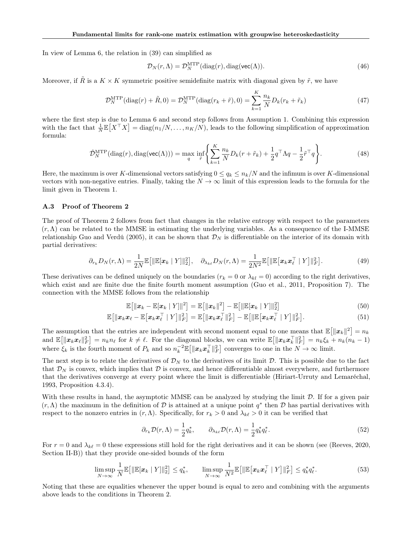In view of Lemma 6, the relation in (39) can simplified as

$$
\mathcal{D}_N(r,\Lambda) = \mathcal{D}_N^{\text{MTP}}(\text{diag}(r),\text{diag}(\text{vec}(\Lambda))).
$$
\n(46)

Moreover, if  $\tilde{R}$  is a  $K \times K$  symmetric positive semidefinite matrix with diagonal given by  $\tilde{r}$ , we have

$$
\mathcal{D}_N^{\text{MTP}}(\text{diag}(r) + \tilde{R}, 0) = \mathcal{D}_N^{\text{MTP}}(\text{diag}(r_k + \tilde{r}), 0) = \sum_{k=1}^K \frac{n_k}{N} D_k(r_k + \tilde{r}_k)
$$
(47)

where the first step is due to Lemma 6 and second step follows from Assumption 1. Combining this expression with the fact that  $\frac{1}{N} \mathbb{E}[X^{\top} X] = \text{diag}(n_1/N, \dots, n_K/N)$ , leads to the following simplification of approximation formula:

$$
\hat{\mathcal{D}}_N^{\text{MTP}}(\text{diag}(r), \text{diag}(\text{vec}(\Lambda))) = \max_{q} \inf_{\tilde{r}} \left\{ \sum_{k=1}^K \frac{n_k}{N} D_k(r + \tilde{r}_k) + \frac{1}{2} q^\top \Lambda q - \frac{1}{2} \tilde{r}^\top q \right\}.
$$
\n(48)

Here, the maximum is over K-dimensional vectors satisfying  $0 \le q_k \le n_k/N$  and the infimum is over K-dimensional vectors with non-negative entries. Finally, taking the  $N \to \infty$  limit of this expression leads to the formula for the limit given in Theorem 1.

### A.3 Proof of Theorem 2

The proof of Theorem 2 follows from fact that changes in the relative entropy with respect to the parameters  $(r, \Lambda)$  can be related to the MMSE in estimating the underlying variables. As a consequence of the I-MMSE relationship Guo and Verdú (2005), it can be shown that  $\mathcal{D}_N$  is differentiable on the interior of its domain with partial derivatives:

$$
\partial_{r_k} D_N(r,\Lambda) = \frac{1}{2N} \mathbb{E}\big[\|\mathbb{E}[\boldsymbol{x}_k \mid Y]\|_2^2\big], \quad \partial_{\lambda_{k\ell}} D_N(r,\Lambda) = \frac{1}{2N^2} \mathbb{E}\big[\|\mathbb{E}\big[\boldsymbol{x}_k \boldsymbol{x}_\ell^\top \mid Y\big]\|_F^2\big].\tag{49}
$$

These derivatives can be defined uniquely on the boundaries ( $r_k = 0$  or  $\lambda_{kl} = 0$ ) according to the right derivatives, which exist and are finite due the finite fourth moment assumption (Guo et al., 2011, Proposition 7). The connection with the MMSE follows from the relationship

$$
\mathbb{E}\big[\|\boldsymbol{x}_k - \mathbb{E}[\boldsymbol{x}_k \mid Y]\|^2\big] = \mathbb{E}\big[\|\boldsymbol{x}_k\|^2\big] - \mathbb{E}\big[\|\mathbb{E}[\boldsymbol{x}_k \mid Y]\|^2_2\big] \tag{50}
$$

$$
\mathbb{E}\big[\|\boldsymbol{x}_k\boldsymbol{x}_\ell-\mathbb{E}\big[\boldsymbol{x}_k\boldsymbol{x}_\ell^\top\mid Y\big]\|_F^2\big] = \mathbb{E}\big[\|\boldsymbol{x}_k\boldsymbol{x}_\ell^\top\|_F^2\big] - \mathbb{E}\big[\|\mathbb{E}\big[\boldsymbol{x}_k\boldsymbol{x}_\ell^\top\mid Y\big]\|_F^2\big].\tag{51}
$$

The assumption that the entries are independent with second moment equal to one means that  $\mathbb{E}[\|\mathbf{x}_k\|^2] = n_k$ and  $\mathbb{E}[\|\mathbf{x}_k\mathbf{x}_\ell\|_F^2] = n_k n_\ell$  for  $k \neq \ell$ . For the diagonal blocks, we can write  $\mathbb{E}[\|\mathbf{x}_k\mathbf{x}_k^\top\|_F^2] = n_k \xi_k + n_k (n_k - 1)$ where  $\xi_k$  is the fourth moment of  $P_k$  and so  $n_k^{-2} \mathbb{E} \left[ \|\boldsymbol{x}_k \boldsymbol{x}_k^{\top}\|_F^2 \right]$  converges to one in the  $N \to \infty$  limit.

The next step is to relate the derivatives of  $\mathcal{D}_N$  to the derivatives of its limit  $\mathcal{D}$ . This is possible due to the fact that  $\mathcal{D}_N$  is convex, which implies that  $\mathcal D$  is convex, and hence differentiable almost everywhere, and furthermore that the derivatives converge at every point where the limit is differentiable (Hiriart-Urruty and Lemaréchal, 1993, Proposition 4.3.4).

With these results in hand, the asymptotic MMSE can be analyzed by studying the limit  $\mathcal D$ . If for a given pair  $(r, \Lambda)$  the maximum in the definition of D is attained at a unique point  $q^*$  then D has partial derivatives with respect to the nonzero entries in  $(r, \Lambda)$ . Specifically, for  $r_k > 0$  and  $\lambda_{k\ell} > 0$  it can be verified that

$$
\partial_{r_k} \mathcal{D}(r,\Lambda) = \frac{1}{2} q_k^*, \qquad \partial_{\lambda_{k\ell}} \mathcal{D}(r,\Lambda) = \frac{1}{2} q_k^* q_\ell^*.
$$
\n(52)

For  $r = 0$  and  $\lambda_{k\ell} = 0$  these expressions still hold for the right derivatives and it can be shown (see (Reeves, 2020, Section II-B)) that they provide one-sided bounds of the form

$$
\limsup_{N \to \infty} \frac{1}{N} \mathbb{E} \big[ \|\mathbb{E}[\boldsymbol{x}_k \mid Y] \|_2^2 \big] \leq q_k^*, \qquad \limsup_{N \to \infty} \frac{1}{N^2} \mathbb{E} \big[ \|\mathbb{E}[\boldsymbol{x}_k \boldsymbol{x}_\ell^\top \mid Y] \|_F^2 \big] \leq q_k^* q_\ell^*.
$$
\n
$$
(53)
$$

Noting that these are equalities whenever the upper bound is equal to zero and combining with the arguments above leads to the conditions in Theorem 2.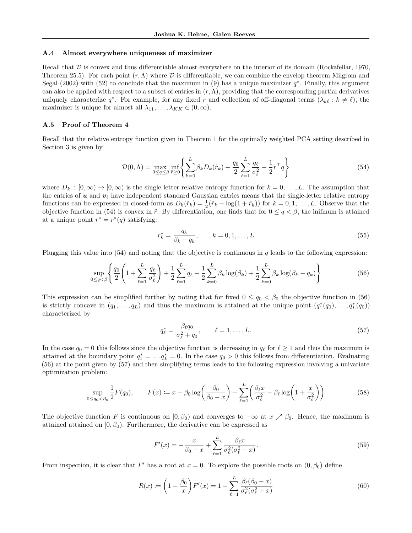#### A.4 Almost everywhere uniqueness of maximizer

Recall that  $D$  is convex and thus differentiable almost everywhere on the interior of its domain (Rockafellar, 1970, Theorem 25.5). For each point  $(r, \Lambda)$  where D is differentiable, we can combine the envelop theorem Milgrom and Segal (2002) with (52) to conclude that the maximum in (9) has a unique maximizer  $q^*$ . Finally, this argument can also be applied with respect to a subset of entries in  $(r, \Lambda)$ , providing that the corresponding partial derivatives uniquely characterize  $q^*$ . For example, for any fixed r and collection of off-diagonal terms  $(\lambda_{k\ell} : k \neq \ell)$ , the maximizer is unique for almost all  $\lambda_{11}, \ldots, \lambda_{KK} \in (0, \infty)$ .

### A.5 Proof of Theorem 4

Recall that the relative entropy function given in Theorem 1 for the optimally weighted PCA setting described in Section 3 is given by

$$
\mathcal{D}(0,\Lambda) = \max_{0 \le q \le \beta} \inf_{\tilde{r} \ge 0} \left\{ \sum_{k=0}^{L} \beta_k D_k(\tilde{r}_k) + \frac{q_0}{2} \sum_{\ell=1}^{L} \frac{q_\ell}{\sigma_\ell^2} - \frac{1}{2} \tilde{r}^\top q \right\} \tag{54}
$$

where  $D_k : [0, \infty) \to [0, \infty)$  is the single letter relative entropy function for  $k = 0, \ldots, L$ . The assumption that the entries of  $u$  and  $v_\ell$  have independent standard Gaussian entries means that the single-letter relative entropy functions can be expressed in closed-form as  $D_k(\tilde{r}_k) = \frac{1}{2}(\tilde{r}_k - \log(1 + \tilde{r}_k))$  for  $k = 0, 1, ..., L$ . Observe that the objective function in (54) is convex in  $\tilde{r}$ . By differentiation, one finds that for  $0 \leq q < \beta$ , the inifmum is attained at a unique point  $r^* = r^*(q)$  satisfying:

$$
r_k^* = \frac{q_k}{\beta_k - q_k}, \qquad k = 0, 1, \dots, L
$$
 (55)

Plugging this value into  $(54)$  and noting that the objective is continuous in q leads to the following expression:

$$
\sup_{0 \le q < \beta} \left\{ \frac{q_0}{2} \left( 1 + \sum_{\ell=1}^L \frac{q_\ell}{\sigma_\ell^2} \right) + \frac{1}{2} \sum_{\ell=1}^L q_\ell - \frac{1}{2} \sum_{k=0}^L \beta_k \log(\beta_k) + \frac{1}{2} \sum_{k=0}^L \beta_k \log(\beta_k - q_k) \right\} \tag{56}
$$

This expression can be simplified further by noting that for fixed  $0 \le q_0 < \beta_0$  the objective function in (56) is strictly concave in  $(q_1, \ldots, q_L)$  and thus the maximum is attained at the unique point  $(q_1^*(q_0), \ldots, q_L^*(q_0))$ characterized by

$$
q_{\ell}^* = \frac{\beta_{\ell} q_0}{\sigma_{\ell}^2 + q_0}, \qquad \ell = 1, \dots, L. \tag{57}
$$

In the case  $q_0 = 0$  this follows since the objective function is decreasing in  $q_\ell$  for  $\ell \geq 1$  and thus the maximum is attained at the boundary point  $q_1^* = \ldots q_L^* = 0$ . In the case  $q_0 > 0$  this follows from differentiation. Evaluating (56) at the point given by (57) and then simplifying terms leads to the following expression involving a univariate optimization problem:

$$
\sup_{0 \le q_0 < \beta_0} \frac{1}{2} F(q_0), \qquad F(x) \coloneqq x - \beta_0 \log \left( \frac{\beta_0}{\beta_0 - x} \right) + \sum_{\ell=1}^L \left( \frac{\beta_\ell x}{\sigma_\ell^2} - \beta_\ell \log \left( 1 + \frac{x}{\sigma_\ell^2} \right) \right) \tag{58}
$$

The objective function F is continuous on  $[0, \beta_0)$  and converges to  $-\infty$  at  $x \nearrow \beta_0$ . Hence, the maximum is attained attained on  $[0, \beta_0)$ . Furthermore, the derivative can be expressed as

$$
F'(x) = -\frac{x}{\beta_0 - x} + \sum_{\ell=1}^{L} \frac{\beta_{\ell} x}{\sigma_{\ell}^2 (\sigma_{\ell}^2 + x)}.
$$
\n(59)

From inspection, it is clear that F' has a root at  $x = 0$ . To explore the possible roots on  $(0, \beta_0)$  define

$$
R(x) := \left(1 - \frac{\beta_0}{x}\right) F'(x) = 1 - \sum_{\ell=1}^{L} \frac{\beta_{\ell}(\beta_0 - x)}{\sigma_{\ell}^2(\sigma_{\ell}^2 + x)}
$$
(60)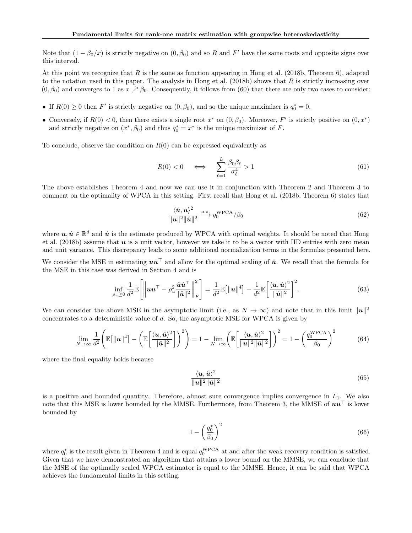Note that  $(1 - \beta_0/x)$  is strictly negative on  $(0, \beta_0)$  and so R and F' have the same roots and opposite signs over this interval.

At this point we recognize that R is the same as function appearing in Hong et al. (2018b, Theorem 6), adapted to the notation used in this paper. The analysis in Hong et al.  $(2018b)$  shows that R is strictly increasing over  $(0, \beta_0)$  and converges to 1 as  $x \nearrow \beta_0$ . Consequently, it follows from (60) that there are only two cases to consider:

- If  $R(0) \geq 0$  then F' is strictly negative on  $(0, \beta_0)$ , and so the unique maximizer is  $q_0^* = 0$ .
- Conversely, if  $R(0) < 0$ , then there exists a single root  $x^*$  on  $(0, \beta_0)$ . Moreover,  $F'$  is strictly positive on  $(0, x^*)$ and strictly negative on  $(x^*, \beta_0)$  and thus  $q_0^* = x^*$  is the unique maximizer of F.

To conclude, observe the condition on  $R(0)$  can be expressed equivalently as

$$
R(0) < 0 \quad \iff \quad \sum_{\ell=1}^{L} \frac{\beta_0 \beta_\ell}{\sigma_\ell^4} > 1 \tag{61}
$$

The above establishes Theorem 4 and now we can use it in conjunction with Theorem 2 and Theorem 3 to comment on the optimality of WPCA in this setting. First recall that Hong et al. (2018b, Theorem 6) states that

$$
\frac{\langle \hat{\mathbf{u}}, \mathbf{u} \rangle^2}{\|\mathbf{u}\|^2 \|\hat{\mathbf{u}}\|^2} \xrightarrow{a.s.} q_0^{\text{WPCA}} / \beta_0 \tag{62}
$$

where  $u, \hat{u} \in \mathbb{R}^d$  and  $\hat{u}$  is the estimate produced by WPCA with optimal weights. It should be noted that Hong et al. (2018b) assume that  $u$  is a unit vector, however we take it to be a vector with IID entries with zero mean and unit variance. This discrepancy leads to some additional normalization terms in the formulas presented here.

We consider the MSE in estimating  $uu^\top$  and allow for the optimal scaling of  $\hat{u}$ . We recall that the formula for the MSE in this case was derived in Section 4 and is

$$
\inf_{\rho_u \geq 0} \frac{1}{d^2} \mathbb{E} \left[ \left\| \boldsymbol{u} \boldsymbol{u}^\top - \rho_u^2 \frac{\hat{\boldsymbol{u}} \hat{\boldsymbol{u}}^\top}{\|\hat{\boldsymbol{u}}\|^2} \right\|_F^2 \right] = \frac{1}{d^2} \mathbb{E} \left[ \|\boldsymbol{u}\|^4 \right] - \frac{1}{d^2} \mathbb{E} \left[ \frac{\langle \boldsymbol{u}, \hat{\boldsymbol{u}} \rangle^2}{\|\hat{\boldsymbol{u}}\|^2} \right]^2. \tag{63}
$$

We can consider the above MSE in the asymptotic limit (i.e., as  $N \to \infty$ ) and note that in this limit  $||u||^2$ concentrates to a deterministic value of  $d$ . So, the asymptotic MSE for WPCA is given by

$$
\lim_{N \to \infty} \frac{1}{d^2} \left( \mathbb{E} \left[ \|\mathbf{u}\|^4 \right] - \left( \mathbb{E} \left[ \frac{\langle \mathbf{u}, \hat{\mathbf{u}} \rangle^2}{\|\hat{\mathbf{u}}\|^2} \right] \right)^2 \right) = 1 - \lim_{N \to \infty} \left( \mathbb{E} \left[ \frac{\langle \mathbf{u}, \hat{\mathbf{u}} \rangle^2}{\|\mathbf{u}\|^2 \|\hat{\mathbf{u}}\|^2} \right] \right)^2 = 1 - \left( \frac{q_0^{\text{WPCA}}}{\beta_0} \right)^2 \tag{64}
$$

where the final equality holds because

$$
\frac{\langle \boldsymbol{u}, \hat{\boldsymbol{u}} \rangle^2}{\|\boldsymbol{u}\|^2 \|\hat{\boldsymbol{u}}\|^2}
$$
(65)

is a positive and bounded quantity. Therefore, almost sure convergence implies convergence in  $L_1$ . We also note that this MSE is lower bounded by the MMSE. Furthermore, from Theorem 3, the MMSE of  $\boldsymbol{u}\boldsymbol{u}^{\top}$  is lower bounded by

$$
1 - \left(\frac{q_0^*}{\beta_0}\right)^2 \tag{66}
$$

where  $q_0^*$  is the result given in Theorem 4 and is equal  $q_0^{\text{WPCA}}$  at and after the weak recovery condition is satisfied. Given that we have demonstrated an algorithm that attains a lower bound on the MMSE, we can conclude that the MSE of the optimally scaled WPCA estimator is equal to the MMSE. Hence, it can be said that WPCA achieves the fundamental limits in this setting.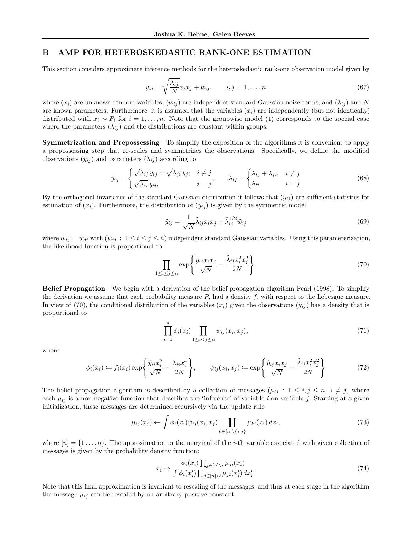# B AMP FOR HETEROSKEDASTIC RANK-ONE ESTIMATION

This section considers approximate inference methods for the heteroskedastic rank-one observation model given by

$$
y_{ij} = \sqrt{\frac{\lambda_{ij}}{N}} x_i x_j + w_{ij}, \qquad i, j = 1, \dots, n
$$
\n
$$
(67)
$$

where  $(x_i)$  are unknown random variables,  $(w_{ij})$  are independent standard Gaussian noise terms, and  $(\lambda_{ij})$  and N are known parameters. Furthermore, it is assumed that the variables  $(x_i)$  are independently (but not identically) distributed with  $x_i \sim P_i$  for  $i = 1, \ldots, n$ . Note that the groupwise model (1) corresponds to the special case where the parameters  $(\lambda_{ij})$  and the distributions are constant within groups.

Symmetrization and Prepossessing To simplify the exposition of the algorithms it is convenient to apply a prepossessing step that re-scales and symmetrizes the observations. Specifically, we define the modified observations  $(\tilde{y}_{ij})$  and parameters  $(\tilde{\lambda}_{ij})$  according to

$$
\tilde{y}_{ij} = \begin{cases}\n\sqrt{\lambda_{ij}} y_{ij} + \sqrt{\lambda_{ji}} y_{ji} & i \neq j \\
\sqrt{\lambda_{ii}} y_{ii}, & i = j\n\end{cases}, \qquad \tilde{\lambda}_{ij} = \begin{cases}\n\lambda_{ij} + \lambda_{ji}, & i \neq j \\
\lambda_{ii} & i = j\n\end{cases}
$$
\n(68)

By the orthogonal invariance of the standard Gaussian distribution it follows that  $(\tilde{y}_{ij})$  are sufficient statistics for estimation of  $(x_i)$ . Furthermore, the distribution of  $(\tilde{y}_{ij})$  is given by the symmetric model

$$
\tilde{y}_{ij} = \frac{1}{\sqrt{N}} \tilde{\lambda}_{ij} x_i x_j + \tilde{\lambda}_{ij}^{1/2} \tilde{w}_{ij}
$$
\n(69)

where  $\tilde{w}_{ij} = \tilde{w}_{ji}$  with  $(\tilde{w}_{ij} : 1 \le i \le j \le n)$  independent standard Gaussian variables. Using this parameterization, the likelihood function is proportional to

$$
\prod_{1 \le i \le j \le n} \exp\left\{\frac{\tilde{y}_{ij}x_i x_j}{\sqrt{N}} - \frac{\tilde{\lambda}_{ij} x_i^2 x_j^2}{2N}\right\}.
$$
\n(70)

Belief Propagation We begin with a derivation of the belief propagation algorithm Pearl (1998). To simplify the derivation we assume that each probability measure  $P_i$  had a density  $f_i$  with respect to the Lebesgue measure. In view of (70), the conditional distribution of the variables  $(x_i)$  given the observations  $(\tilde{y}_{ij})$  has a density that is proportional to

$$
\prod_{i=1}^{n} \phi_i(x_i) \prod_{1 \le i < j \le n} \psi_{ij}(x_i, x_j),\tag{71}
$$

where

$$
\phi_i(x_i) := f_i(x_i) \exp\left\{\frac{\tilde{y}_{ii}x_i^2}{\sqrt{N}} - \frac{\tilde{\lambda}_{ii}x_i^4}{2N}\right\}, \qquad \psi_{ij}(x_i, x_j) := \exp\left\{\frac{\tilde{y}_{ij}x_ix_j}{\sqrt{N}} - \frac{\tilde{\lambda}_{ij}x_i^2x_j^2}{2N}\right\}
$$
(72)

The belief propagation algorithm is described by a collection of messages  $(\mu_{ij} : 1 \le i, j \le n, i \ne j)$  where each  $\mu_{ij}$  is a non-negative function that describes the 'influence' of variable i on variable j. Starting at a given initialization, these messages are determined recursively via the update rule

$$
\mu_{ij}(x_j) \leftarrow \int \phi_i(x_i) \psi_{ij}(x_i, x_j) \prod_{k \in [n] \setminus \{i, j\}} \mu_{ki}(x_i) dx_i,
$$
\n(73)

where  $[n] = \{1 \ldots, n\}$ . The approximation to the marginal of the *i*-th variable associated with given collection of messages is given by the probability density function:

$$
x_i \mapsto \frac{\phi_i(x_i) \prod_{j \in [n] \setminus i} \mu_{ji}(x_i)}{\int \phi_i(x_i') \prod_{j \in [n] \setminus i} \mu_{ji}(x_i') dx_i'}.
$$
\n(74)

Note that this final approximation is invariant to rescaling of the messages, and thus at each stage in the algorithm the message  $\mu_{ij}$  can be rescaled by an arbitrary positive constant.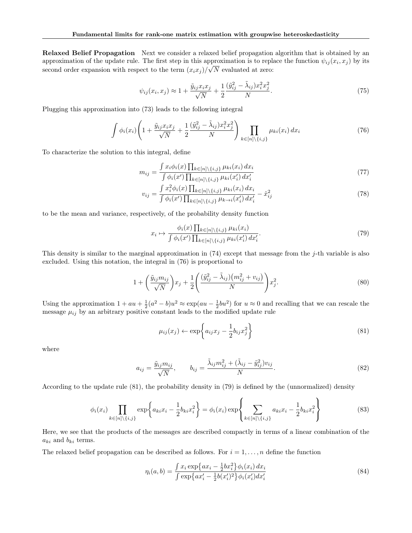Relaxed Belief Propagation Next we consider a relaxed belief propagation algorithm that is obtained by an approximation of the update rule. The first step in this approximation is to replace the function  $\psi_{ij}(x_i, x_j)$  by its second order expansion with respect to the term  $(x_i x_j)/\sqrt{N}$  evaluated at zero:

$$
\psi_{ij}(x_i, x_j) \approx 1 + \frac{\tilde{y}_{ij} x_i x_j}{\sqrt{N}} + \frac{1}{2} \frac{(\tilde{y}_{ij}^2 - \tilde{\lambda}_{ij}) x_i^2 x_j^2}{N}.
$$
\n(75)

Plugging this approximation into (73) leads to the following integral

$$
\int \phi_i(x_i) \left( 1 + \frac{\tilde{y}_{ij} x_i x_j}{\sqrt{N}} + \frac{1}{2} \frac{(\tilde{y}_{ij}^2 - \tilde{\lambda}_{ij}) x_i^2 x_j^2}{N} \right) \prod_{k \in [n] \setminus \{i, j\}} \mu_{ki}(x_i) \, dx_i \tag{76}
$$

To characterize the solution to this integral, define

$$
m_{ij} = \frac{\int x_i \phi_i(x) \prod_{k \in [n] \setminus \{i,j\}} \mu_{ki}(x_i) dx_i}{\int \phi_i(x') \prod_{k \in [n] \setminus \{i,j\}} \mu_{ki}(x'_i) dx'_i}
$$
(77)

$$
v_{ij} = \frac{\int x_i^2 \phi_i(x) \prod_{k \in [n] \setminus \{i,j\}} \mu_{ki}(x_i) dx_i}{\int \phi_i(x') \prod_{k \in [n] \setminus \{i,j\}} \mu_{k \to i}(x_i') dx_i'} - \hat{x}_{ij}^2
$$
(78)

to be the mean and variance, respectively, of the probability density function

$$
x_i \mapsto \frac{\phi_i(x) \prod_{k \in [n] \setminus \{i,j\}} \mu_{ki}(x_i)}{\int \phi_i(x') \prod_{k \in [n] \setminus \{i,j\}} \mu_{ki}(x'_i) dx'_i}.
$$
(79)

This density is similar to the marginal approximation in (74) except that message from the j-th variable is also excluded. Using this notation, the integral in (76) is proportional to

$$
1 + \left(\frac{\tilde{y}_{ij}m_{ij}}{\sqrt{N}}\right)x_j + \frac{1}{2}\left(\frac{(\tilde{y}_{ij}^2 - \tilde{\lambda}_{ij})(m_{ij}^2 + v_{ij})}{N}\right)x_j^2.
$$
\n(80)

Using the approximation  $1 + au + \frac{1}{2}(a^2 - b)u^2 \approx \exp(au - \frac{1}{2}bu^2)$  for  $u \approx 0$  and recalling that we can rescale the message  $\mu_{ij}$  by an arbitrary positive constant leads to the modified update rule

$$
\mu_{ij}(x_j) \leftarrow \exp\left\{a_{ij}x_j - \frac{1}{2}b_{ij}x_j^2\right\} \tag{81}
$$

where

$$
a_{ij} = \frac{\tilde{y}_{ij}m_{ij}}{\sqrt{N}}, \qquad b_{ij} = \frac{\tilde{\lambda}_{ij}m_{ij}^2 + (\tilde{\lambda}_{ij} - \tilde{y}_{ij}^2)v_{ij}}{N}.
$$
\n(82)

According to the update rule (81), the probability density in (79) is defined by the (unnormalized) density

$$
\phi_i(x_i) \prod_{k \in [n] \setminus \{i,j\}} \exp\left\{ a_{ki} x_i - \frac{1}{2} b_{ki} x_i^2 \right\} = \phi_i(x_i) \exp\left\{ \sum_{k \in [n] \setminus \{i,j\}} a_{ki} x_i - \frac{1}{2} b_{ki} x_i^2 \right\}
$$
(83)

Here, we see that the products of the messages are described compactly in terms of a linear combination of the  $a_{ki}$  and  $b_{ki}$  terms.

The relaxed belief propagation can be described as follows. For  $i = 1, \ldots, n$  define the function

$$
\eta_i(a,b) = \frac{\int x_i \exp\{ax_i - \frac{1}{2}bx_i^2\}\phi_i(x_i) dx_i}{\int \exp\{ax'_i - \frac{1}{2}b(x'_i)^2\}\phi_i(x'_i) dx'_i}
$$
\n(84)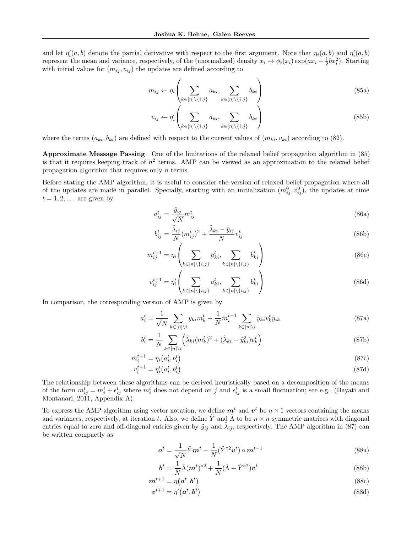and let  $\eta'_i(a, b)$  denote the partial derivative with respect to the first argument. Note that  $\eta_i(a, b)$  and  $\eta'_i(a, b)$ represent the mean and variance, respectively, of the (unormalized) density  $x_i \mapsto \phi_i(x_i) \exp(ax_i - \frac{1}{2}bx_i^2)$ . Starting with initial values for  $(m_{ij}, v_{ij})$  the updates are defined according to

$$
m_{ij} \leftarrow \eta_i \left( \sum_{k \in [n] \setminus \{i,j\}} a_{ki}, \sum_{k \in [n] \setminus \{i,j\}} b_{ki} \right) \tag{85a}
$$

$$
v_{ij} \leftarrow \eta_i' \left( \sum_{k \in [n] \setminus \{i,j\}} a_{ki}, \sum_{k \in [n] \setminus \{i,j\}} b_{ki} \right)
$$
 (85b)

where the terms  $(a_{ki}, b_{ki})$  are defined with respect to the current values of  $(m_{ki}, v_{ki})$  according to (82).

Approximate Message Passing One of the limitations of the relaxed belief propagation algorithm in (85) is that it requires keeping track of  $n^2$  terms. AMP can be viewed as an approximation to the relaxed belief propagation algorithm that requires only n terms.

Before stating the AMP algorithm, it is useful to consider the version of relaxed belief propagation where all of the updates are made in parallel. Specially, starting with an initialization  $(m_{ij}^0, v_{ij}^0)$ , the updates at time  $t = 1, 2, \ldots$  are given by

$$
a_{ij}^t = \frac{\tilde{y}_{ij}}{\sqrt{N}} m_{ij}^t \tag{86a}
$$

$$
b_{ij}^t = \frac{\tilde{\lambda}_{ij}}{N} (m_{ij}^t)^2 + \frac{\tilde{\lambda}_{ki} - \tilde{y}_{ij}}{N} v_{ij}^t
$$
\n(86b)

$$
m_{ij}^{t+1} = \eta_i \left( \sum_{k \in [n] \setminus \{i,j\}} a_{ki}^t, \sum_{k \in [n] \setminus \{i,j\}} b_{ki}^t \right) \tag{86c}
$$

$$
v_{ij}^{t+1} = \eta_i' \left( \sum_{k \in [n] \setminus \{i,j\}} a_{ki}^t, \sum_{k \in [n] \setminus \{i,j\}} b_{ki}^t \right) \tag{86d}
$$

In comparison, the corresponding version of AMP is given by

$$
a_i^t = \frac{1}{\sqrt{N}} \sum_{k \in [n] \backslash i} \tilde{y}_{ki} m_k^t - \frac{1}{N} m_i^{t-1} \sum_{k \in [n] \backslash i} \tilde{y}_{ki} v_k^t \tilde{y}_{ik}
$$
(87a)

$$
b_i^t = \frac{1}{N} \sum_{k \in [n] \backslash i} \left( \tilde{\lambda}_{ki} (m_k^t)^2 + (\tilde{\lambda}_{ki} - \tilde{y}_{ki}^2) v_k^t \right)
$$
\n(87b)

$$
m_i^{t+1} = \eta_i(a_i^t, b_i^t) \tag{87c}
$$

$$
v_i^{t+1} = \eta_i'(a_i^t, b_i^t) \tag{87d}
$$

The relationship between these algorithms can be derived heuristically based on a decomposition of the means of the form  $m_{ij}^t = m_i^t + \epsilon_{ij}^t$  where  $m_i^t$  does not depend on j and  $\epsilon_{ij}^t$  is a small fluctuation; see e.g., (Bayati and Montanari, 2011, Appendix A).

To express the AMP algorithm using vector notation, we define  $m<sup>t</sup>$  and  $v<sup>t</sup>$  be  $n \times 1$  vectors containing the means and variances, respectively, at iteration t. Also, we define  $\tilde{Y}$  and  $\tilde{\Lambda}$  to be  $n \times n$  symmetric matrices with diagonal entries equal to zero and off-diagonal entries given by  $\tilde{y}_{ij}$  and  $\tilde{\lambda}_{ij}$ , respectively. The AMP algorithm in (87) can be written compactly as

$$
\boldsymbol{a}^{t} = \frac{1}{\sqrt{N}} \tilde{Y} \boldsymbol{m}^{t} - \frac{1}{N} (\tilde{Y}^{\circ 2} \boldsymbol{v}^{t}) \circ \boldsymbol{m}^{t-1}
$$
\n(88a)

$$
\boldsymbol{b}^{t} = \frac{1}{N} \tilde{\Lambda}(\boldsymbol{m}^{t})^{\circ 2} + \frac{1}{N} (\tilde{\Lambda} - \tilde{Y}^{\circ 2}) \boldsymbol{v}^{t}
$$
\n(88b)

$$
\boldsymbol{m}^{t+1} = \eta(\boldsymbol{a}^t, \boldsymbol{b}^t) \tag{88c}
$$

$$
\boldsymbol{v}^{t+1} = \eta'(\boldsymbol{a}^t, \boldsymbol{b}^t) \tag{88d}
$$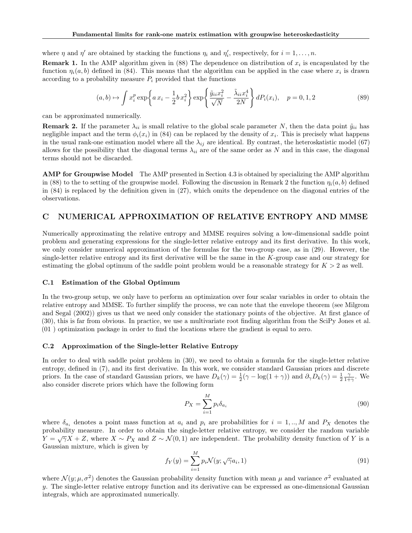where  $\eta$  and  $\eta'$  are obtained by stacking the functions  $\eta_i$  and  $\eta'_i$ , respectively, for  $i = 1, ..., n$ .

**Remark 1.** In the AMP algorithm given in (88) The dependence on distribution of  $x_i$  is encapsulated by the function  $\eta_i(a, b)$  defined in (84). This means that the algorithm can be applied in the case where  $x_i$  is drawn according to a probability measure  $P_i$  provided that the functions

$$
(a, b) \mapsto \int x_i^p \exp\left\{ a x_i - \frac{1}{2} b x_i^2 \right\} \exp\left\{ \frac{\tilde{y}_{ii} x_i^2}{\sqrt{N}} - \frac{\tilde{\lambda}_{ii} x_i^4}{2N} \right\} dP_i(x_i), \quad p = 0, 1, 2
$$
 (89)

can be approximated numerically.

**Remark 2.** If the parameter  $\lambda_{ii}$  is small relative to the global scale parameter N, then the data point  $\tilde{y}_{ii}$  has negligible impact and the term  $\phi_i(x_i)$  in (84) can be replaced by the density of  $x_i$ . This is precisely what happens in the usual rank-one estimation model where all the  $\lambda_{ij}$  are identical. By contrast, the heteroskatistic model (67) allows for the possibility that the diagonal terms  $\lambda_{ii}$  are of the same order as N and in this case, the diagonal terms should not be discarded.

AMP for Groupwise Model The AMP presented in Section 4.3 is obtained by specializing the AMP algorithm in (88) to the to setting of the groupwise model. Following the discussion in Remark 2 the function  $\eta_i(a, b)$  defined in (84) is replaced by the definition given in (27), which omits the dependence on the diagonal entries of the observations.

## C NUMERICAL APPROXIMATION OF RELATIVE ENTROPY AND MMSE

Numerically approximating the relative entropy and MMSE requires solving a low-dimensional saddle point problem and generating expressions for the single-letter relative entropy and its first derivative. In this work, we only consider numerical approximation of the formulas for the two-group case, as in (29). However, the single-letter relative entropy and its first derivative will be the same in the K-group case and our strategy for estimating the global optimum of the saddle point problem would be a reasonable strategy for  $K > 2$  as well.

### C.1 Estimation of the Global Optimum

In the two-group setup, we only have to perform an optimization over four scalar variables in order to obtain the relative entropy and MMSE. To further simplify the process, we can note that the envelope theorem (see Milgrom and Segal (2002)) gives us that we need only consider the stationary points of the objective. At first glance of (30), this is far from obvious. In practice, we use a multivariate root finding algorithm from the SciPy Jones et al. (01 ) optimization package in order to find the locations where the gradient is equal to zero.

#### C.2 Approximation of the Single-letter Relative Entropy

In order to deal with saddle point problem in (30), we need to obtain a formula for the single-letter relative entropy, defined in (7), and its first derivative. In this work, we consider standard Gaussian priors and discrete priors. In the case of standard Gaussian priors, we have  $D_k(\gamma) = \frac{1}{2}(\gamma - \log(1 + \gamma))$  and  $\partial_\gamma D_k(\gamma) = \frac{1}{2} \frac{\gamma}{1 + \gamma}$ . We also consider discrete priors which have the following form

$$
P_X = \sum_{i=1}^{M} p_i \delta_{a_i} \tag{90}
$$

where  $\delta_{a_i}$  denotes a point mass function at  $a_i$  and  $p_i$  are probabilities for  $i = 1, ..., M$  and  $P_X$  denotes the probability measure. In order to obtain the single-letter relative entropy, we consider the random variable  $Y = \sqrt{\gamma}X + Z$ , where  $X \sim P_X$  and  $Z \sim \mathcal{N}(0, 1)$  are independent. The probability density function of Y is a Gaussian mixture, which is given by

$$
f_Y(y) = \sum_{i=1}^{M} p_i \mathcal{N}(y; \sqrt{\gamma} a_i, 1)
$$
\n(91)

where  $\mathcal{N}(y; \mu, \sigma^2)$  denotes the Gaussian probability density function with mean  $\mu$  and variance  $\sigma^2$  evaluated at  $y$ . The single-letter relative entropy function and its derivative can be expressed as one-dimensional Gaussian integrals, which are approximated numerically.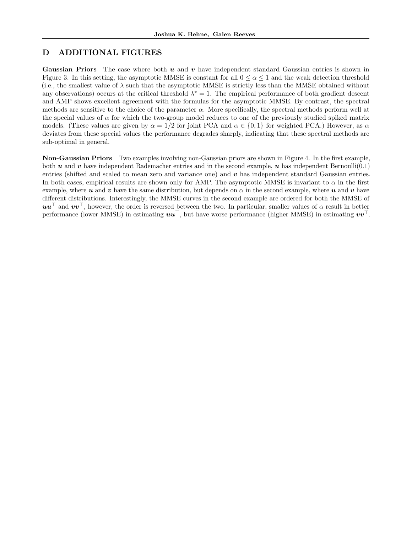# D ADDITIONAL FIGURES

**Gaussian Priors** The case where both  $u$  and  $v$  have independent standard Gaussian entries is shown in Figure 3. In this setting, the asymptotic MMSE is constant for all  $0 \leq \alpha \leq 1$  and the weak detection threshold (i.e., the smallest value of  $\lambda$  such that the asymptotic MMSE is strictly less than the MMSE obtained without any observations) occurs at the critical threshold  $\lambda^* = 1$ . The empirical performance of both gradient descent and AMP shows excellent agreement with the formulas for the asymptotic MMSE. By contrast, the spectral methods are sensitive to the choice of the parameter  $\alpha$ . More specifically, the spectral methods perform well at the special values of  $\alpha$  for which the two-group model reduces to one of the previously studied spiked matrix models. (These values are given by  $\alpha = 1/2$  for joint PCA and  $\alpha \in \{0, 1\}$  for weighted PCA.) However, as  $\alpha$ deviates from these special values the performance degrades sharply, indicating that these spectral methods are sub-optimal in general.

Non-Gaussian Priors Two examples involving non-Gaussian priors are shown in Figure 4. In the first example, both u and v have independent Rademacher entries and in the second example, u has independent Bernoulli(0.1) entries (shifted and scaled to mean zero and variance one) and  $v$  has independent standard Gaussian entries. In both cases, empirical results are shown only for AMP. The asymptotic MMSE is invariant to  $\alpha$  in the first example, where u and v have the same distribution, but depends on  $\alpha$  in the second example, where u and v have different distributions. Interestingly, the MMSE curves in the second example are ordered for both the MMSE of  $uu^{\dagger}$  and  $vv^{\dagger}$ , however, the order is reversed between the two. In particular, smaller values of  $\alpha$  result in better performance (lower MMSE) in estimating  $\boldsymbol{u}\boldsymbol{u}^{\top}$ , but have worse performance (higher MMSE) in estimating  $\boldsymbol{v}\boldsymbol{v}^{\top}$ .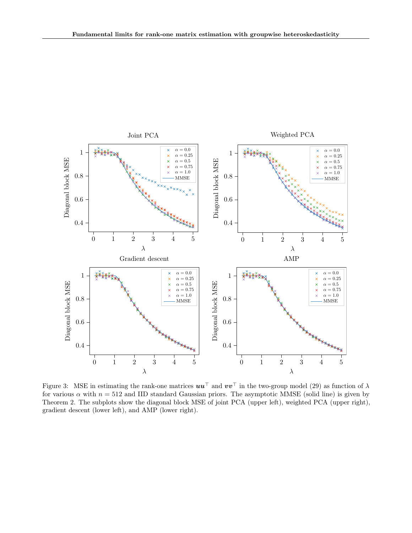

Figure 3: MSE in estimating the rank-one matrices  $uu^\top$  and  $vv^\top$  in the two-group model (29) as function of  $\lambda$ for various  $\alpha$  with  $n = 512$  and IID standard Gaussian priors. The asymptotic MMSE (solid line) is given by Theorem 2. The subplots show the diagonal block MSE of joint PCA (upper left), weighted PCA (upper right), gradient descent (lower left), and AMP (lower right).